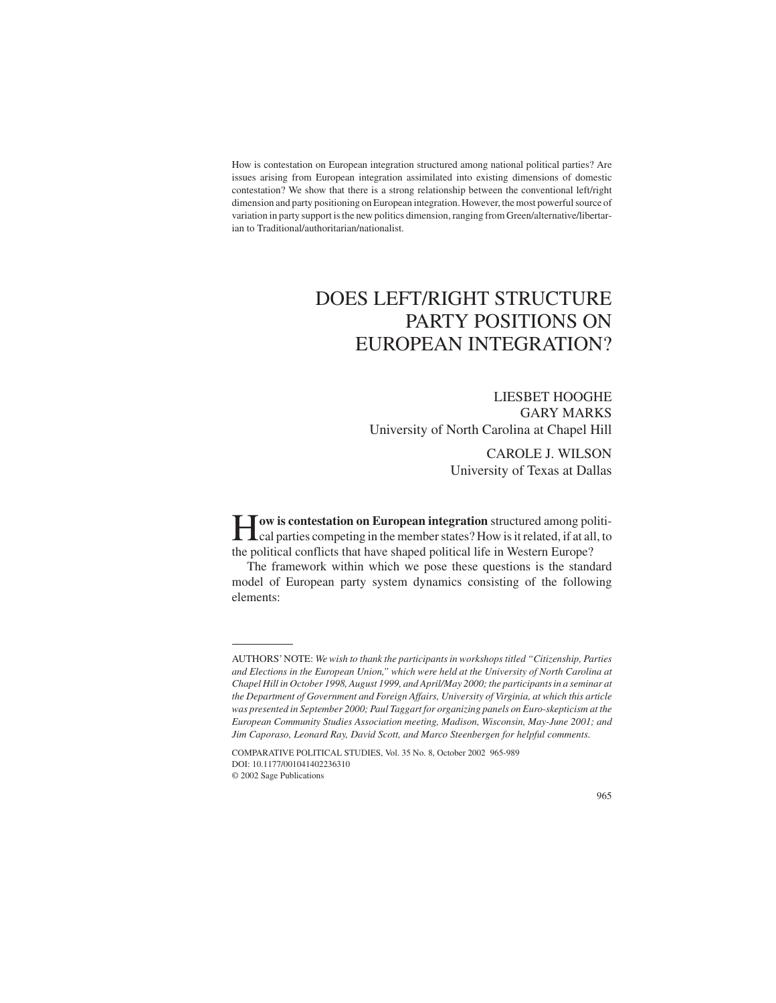How is contestation on European integration structured among national political parties? Are issues arising from European integration assimilated into existing dimensions of domestic contestation? We show that there is a strong relationship between the conventional left/right dimension and party positioning on European integration. However, the most powerful source of variation in party support is the new politics dimension, ranging from Green/alternative/libertarian to Traditional/authoritarian/nationalist.

# DOES LEFT/RIGHT STRUCTURE PARTY POSITIONS ON EUROPEAN INTEGRATION?

LIESBET HOOGHE GARY MARKS University of North Carolina at Chapel Hill

> CAROLE J. WILSON University of Texas at Dallas

**How is contestation on European integration** structured among political parties competing in the member states? How is it related, if at all, to the political conflicts that have shaped political life in Western Europe?

The framework within which we pose these questions is the standard model of European party system dynamics consisting of the following elements:

AUTHORS'NOTE: *We wish to thank the participants in workshops titled "Citizenship, Parties and Elections in the European Union," which were held at the University of North Carolina at Chapel Hill in October 1998, August 1999, and April/May 2000; the participants in a seminar at the Department of Government and Foreign Affairs, University of Virginia, at which this article was presented in September 2000; Paul Taggart for organizing panels on Euro-skepticism at the European Community Studies Association meeting, Madison, Wisconsin, May-June 2001; and Jim Caporaso, Leonard Ray, David Scott, and Marco Steenbergen for helpful comments.*

COMPARATIVE POLITICAL STUDIES, Vol. 35 No. 8, October 2002 965-989 DOI: 10.1177/001041402236310 © 2002 Sage Publications

<sup>965</sup>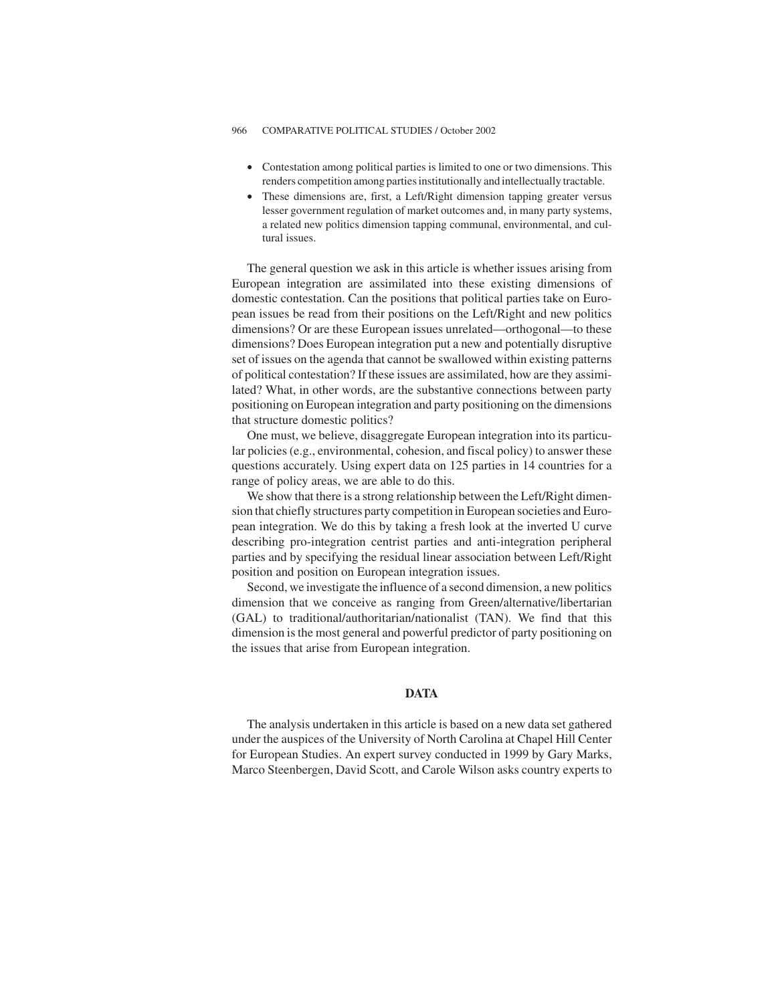- Contestation among political parties is limited to one or two dimensions. This renders competition among parties institutionally and intellectually tractable.
- These dimensions are, first, a Left/Right dimension tapping greater versus lesser government regulation of market outcomes and, in many party systems, a related new politics dimension tapping communal, environmental, and cultural issues.

The general question we ask in this article is whether issues arising from European integration are assimilated into these existing dimensions of domestic contestation. Can the positions that political parties take on European issues be read from their positions on the Left/Right and new politics dimensions? Or are these European issues unrelated—orthogonal—to these dimensions? Does European integration put a new and potentially disruptive set of issues on the agenda that cannot be swallowed within existing patterns of political contestation? If these issues are assimilated, how are they assimilated? What, in other words, are the substantive connections between party positioning on European integration and party positioning on the dimensions that structure domestic politics?

One must, we believe, disaggregate European integration into its particular policies (e.g., environmental, cohesion, and fiscal policy) to answer these questions accurately. Using expert data on 125 parties in 14 countries for a range of policy areas, we are able to do this.

We show that there is a strong relationship between the Left/Right dimension that chiefly structures party competition in European societies and European integration. We do this by taking a fresh look at the inverted U curve describing pro-integration centrist parties and anti-integration peripheral parties and by specifying the residual linear association between Left/Right position and position on European integration issues.

Second, we investigate the influence of a second dimension, a new politics dimension that we conceive as ranging from Green/alternative/libertarian (GAL) to traditional/authoritarian/nationalist (TAN). We find that this dimension is the most general and powerful predictor of party positioning on the issues that arise from European integration.

# **DATA**

The analysis undertaken in this article is based on a new data set gathered under the auspices of the University of North Carolina at Chapel Hill Center for European Studies. An expert survey conducted in 1999 by Gary Marks, Marco Steenbergen, David Scott, and Carole Wilson asks country experts to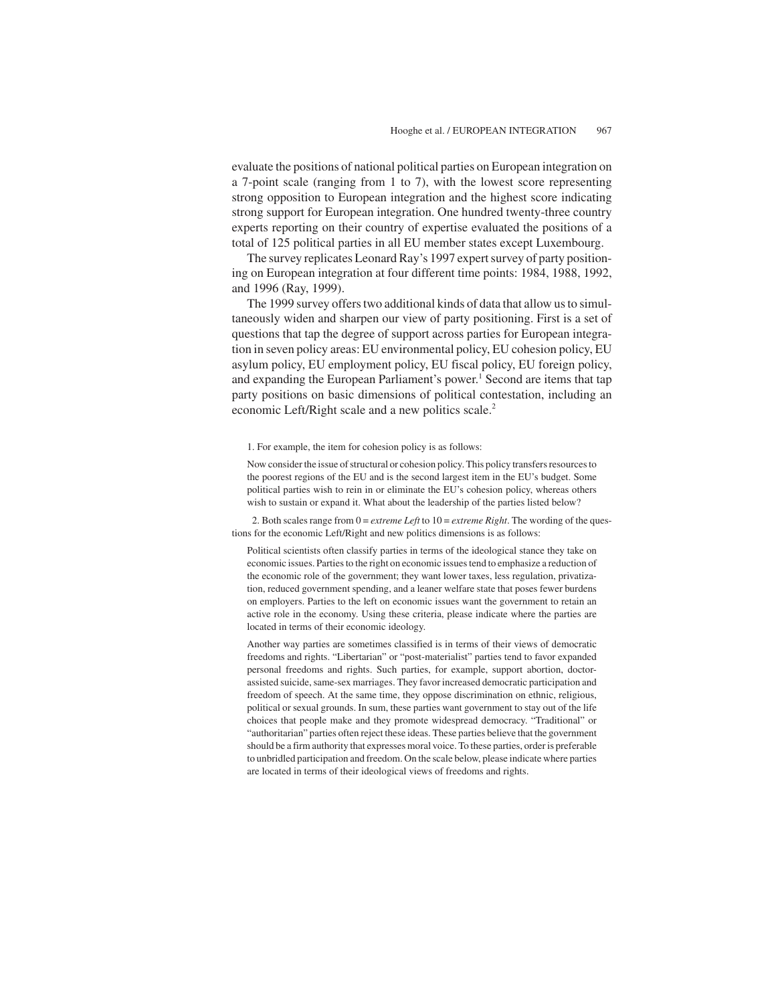evaluate the positions of national political parties on European integration on a 7-point scale (ranging from 1 to 7), with the lowest score representing strong opposition to European integration and the highest score indicating strong support for European integration. One hundred twenty-three country experts reporting on their country of expertise evaluated the positions of a total of 125 political parties in all EU member states except Luxembourg.

The survey replicates Leonard Ray's 1997 expert survey of party positioning on European integration at four different time points: 1984, 1988, 1992, and 1996 (Ray, 1999).

The 1999 survey offers two additional kinds of data that allow us to simultaneously widen and sharpen our view of party positioning. First is a set of questions that tap the degree of support across parties for European integration in seven policy areas: EU environmental policy, EU cohesion policy, EU asylum policy, EU employment policy, EU fiscal policy, EU foreign policy, and expanding the European Parliament's power.<sup>1</sup> Second are items that tap party positions on basic dimensions of political contestation, including an economic Left/Right scale and a new politics scale.<sup>2</sup>

#### 1. For example, the item for cohesion policy is as follows:

Now consider the issue of structural or cohesion policy. This policy transfers resources to the poorest regions of the EU and is the second largest item in the EU's budget. Some political parties wish to rein in or eliminate the EU's cohesion policy, whereas others wish to sustain or expand it. What about the leadership of the parties listed below?

2. Both scales range from 0 = *extreme Left* to 10 = *extreme Right*. The wording of the questions for the economic Left/Right and new politics dimensions is as follows:

Political scientists often classify parties in terms of the ideological stance they take on economic issues. Parties to the right on economic issues tend to emphasize a reduction of the economic role of the government; they want lower taxes, less regulation, privatization, reduced government spending, and a leaner welfare state that poses fewer burdens on employers. Parties to the left on economic issues want the government to retain an active role in the economy. Using these criteria, please indicate where the parties are located in terms of their economic ideology.

Another way parties are sometimes classified is in terms of their views of democratic freedoms and rights. "Libertarian" or "post-materialist" parties tend to favor expanded personal freedoms and rights. Such parties, for example, support abortion, doctorassisted suicide, same-sex marriages. They favor increased democratic participation and freedom of speech. At the same time, they oppose discrimination on ethnic, religious, political or sexual grounds. In sum, these parties want government to stay out of the life choices that people make and they promote widespread democracy. "Traditional" or "authoritarian" parties often reject these ideas. These parties believe that the government should be a firm authority that expresses moral voice. To these parties, order is preferable to unbridled participation and freedom. On the scale below, please indicate where parties are located in terms of their ideological views of freedoms and rights.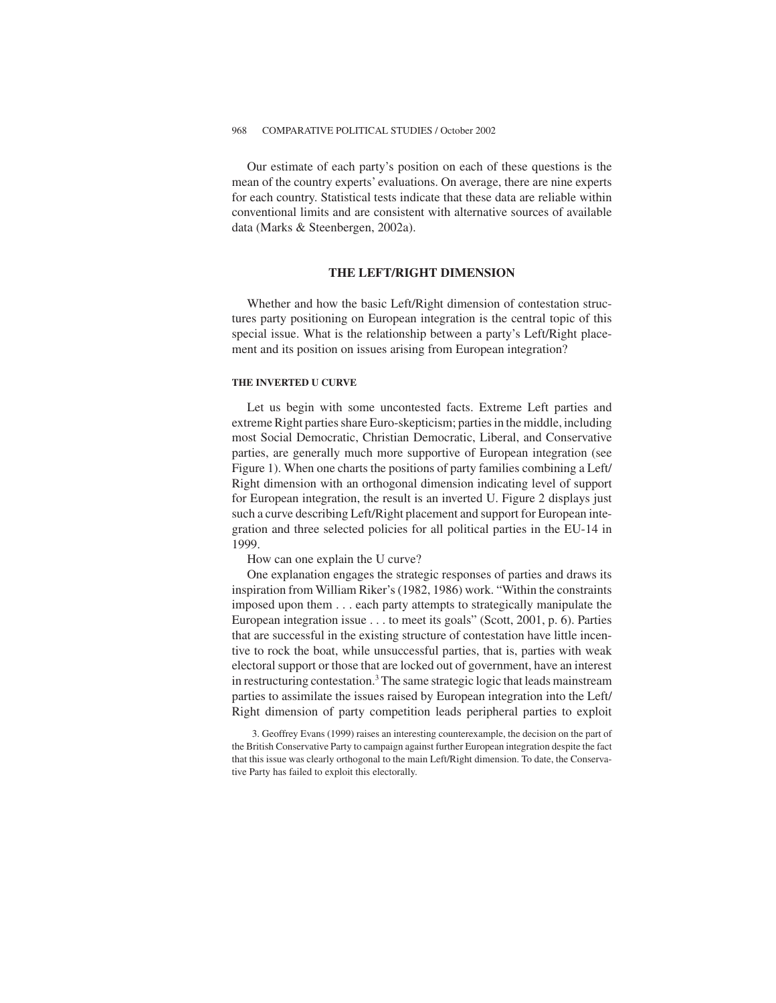Our estimate of each party's position on each of these questions is the mean of the country experts' evaluations. On average, there are nine experts for each country. Statistical tests indicate that these data are reliable within conventional limits and are consistent with alternative sources of available data (Marks & Steenbergen, 2002a).

# **THE LEFT/RIGHT DIMENSION**

Whether and how the basic Left/Right dimension of contestation structures party positioning on European integration is the central topic of this special issue. What is the relationship between a party's Left/Right placement and its position on issues arising from European integration?

# **THE INVERTED U CURVE**

Let us begin with some uncontested facts. Extreme Left parties and extreme Right parties share Euro-skepticism; parties in the middle, including most Social Democratic, Christian Democratic, Liberal, and Conservative parties, are generally much more supportive of European integration (see Figure 1). When one charts the positions of party families combining a Left/ Right dimension with an orthogonal dimension indicating level of support for European integration, the result is an inverted U. Figure 2 displays just such a curve describing Left/Right placement and support for European integration and three selected policies for all political parties in the EU-14 in 1999.

How can one explain the U curve?

One explanation engages the strategic responses of parties and draws its inspiration from William Riker's (1982, 1986) work. "Within the constraints imposed upon them... each party attempts to strategically manipulate the European integration issue . . . to meet its goals" (Scott, 2001, p. 6). Parties that are successful in the existing structure of contestation have little incentive to rock the boat, while unsuccessful parties, that is, parties with weak electoral support or those that are locked out of government, have an interest in restructuring contestation.<sup>3</sup> The same strategic logic that leads mainstream parties to assimilate the issues raised by European integration into the Left/ Right dimension of party competition leads peripheral parties to exploit

3. Geoffrey Evans (1999) raises an interesting counterexample, the decision on the part of the British Conservative Party to campaign against further European integration despite the fact that this issue was clearly orthogonal to the main Left/Right dimension. To date, the Conservative Party has failed to exploit this electorally.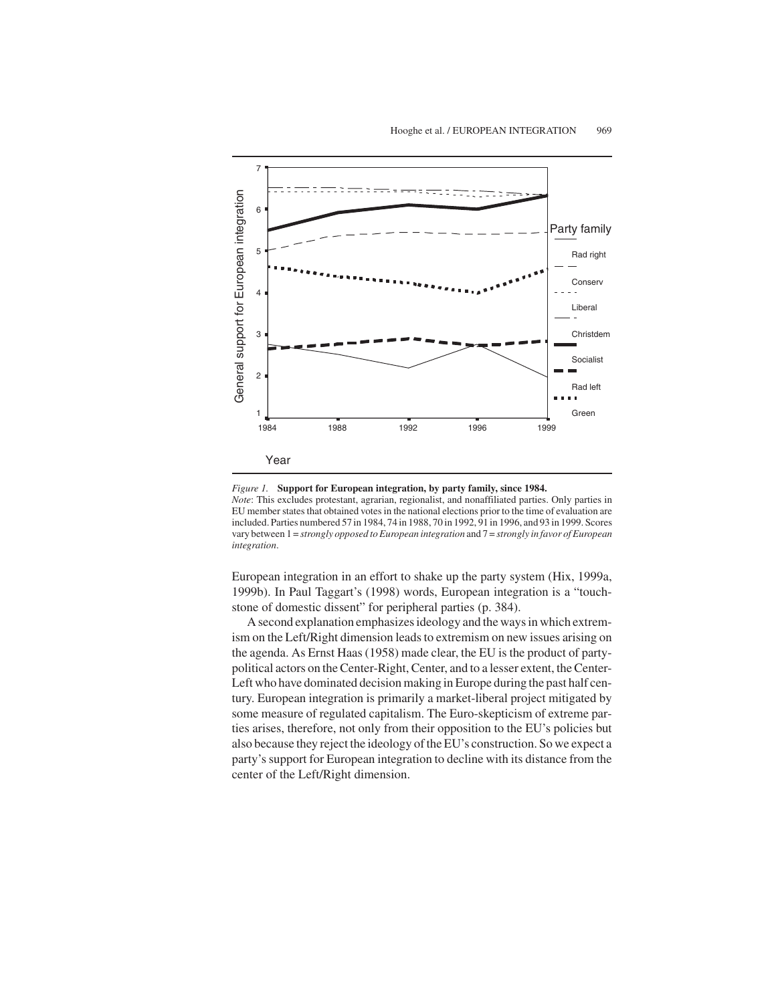

*Figure 1.* **Support for European integration, by party family, since 1984.** *Note*: This excludes protestant, agrarian, regionalist, and nonaffiliated parties. Only parties in EU member states that obtained votes in the national elections prior to the time of evaluation are included. Parties numbered 57 in 1984, 74 in 1988, 70 in 1992, 91 in 1996, and 93 in 1999. Scores vary between 1 = *strongly opposed to European integration* and 7 = *strongly in favor of European integration*.

European integration in an effort to shake up the party system (Hix, 1999a, 1999b). In Paul Taggart's (1998) words, European integration is a "touchstone of domestic dissent" for peripheral parties (p. 384).

A second explanation emphasizes ideology and the ways in which extremism on the Left/Right dimension leads to extremism on new issues arising on the agenda. As Ernst Haas (1958) made clear, the EU is the product of partypolitical actors on the Center-Right, Center, and to a lesser extent, the Center-Left who have dominated decision making in Europe during the past half century. European integration is primarily a market-liberal project mitigated by some measure of regulated capitalism. The Euro-skepticism of extreme parties arises, therefore, not only from their opposition to the EU's policies but also because they reject the ideology of the EU's construction. So we expect a party's support for European integration to decline with its distance from the center of the Left/Right dimension.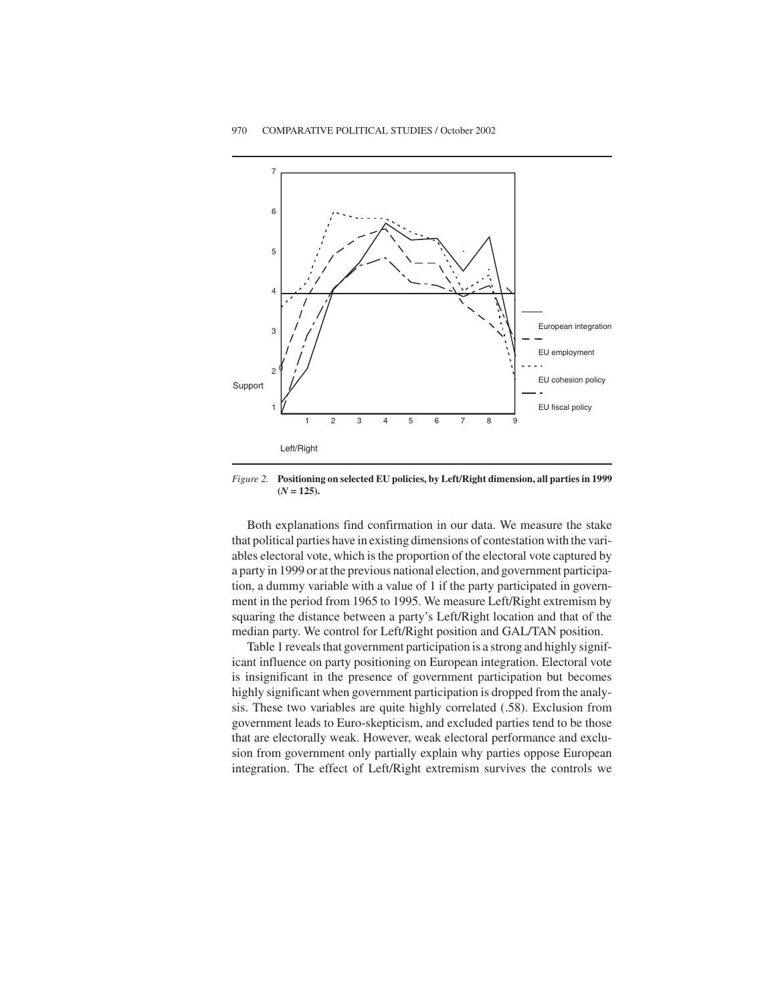

*Figure 2.* **Positioning on selected EU policies, by Left/Right dimension, all parties in 1999**  $(N = 125)$ .

Both explanations find confirmation in our data. We measure the stake that political parties have in existing dimensions of contestation with the variables electoral vote, which is the proportion of the electoral vote captured by a party in 1999 or at the previous national election, and government participation, a dummy variable with a value of 1 if the party participated in government in the period from 1965 to 1995. We measure Left/Right extremism by squaring the distance between a party's Left/Right location and that of the median party. We control for Left/Right position and GAL/TAN position.

Table 1 reveals that government participation is a strong and highly significant influence on party positioning on European integration. Electoral vote is insignificant in the presence of government participation but becomes highly significant when government participation is dropped from the analysis. These two variables are quite highly correlated (.58). Exclusion from government leads to Euro-skepticism, and excluded parties tend to be those that are electorally weak. However, weak electoral performance and exclusion from government only partially explain why parties oppose European integration. The effect of Left/Right extremism survives the controls we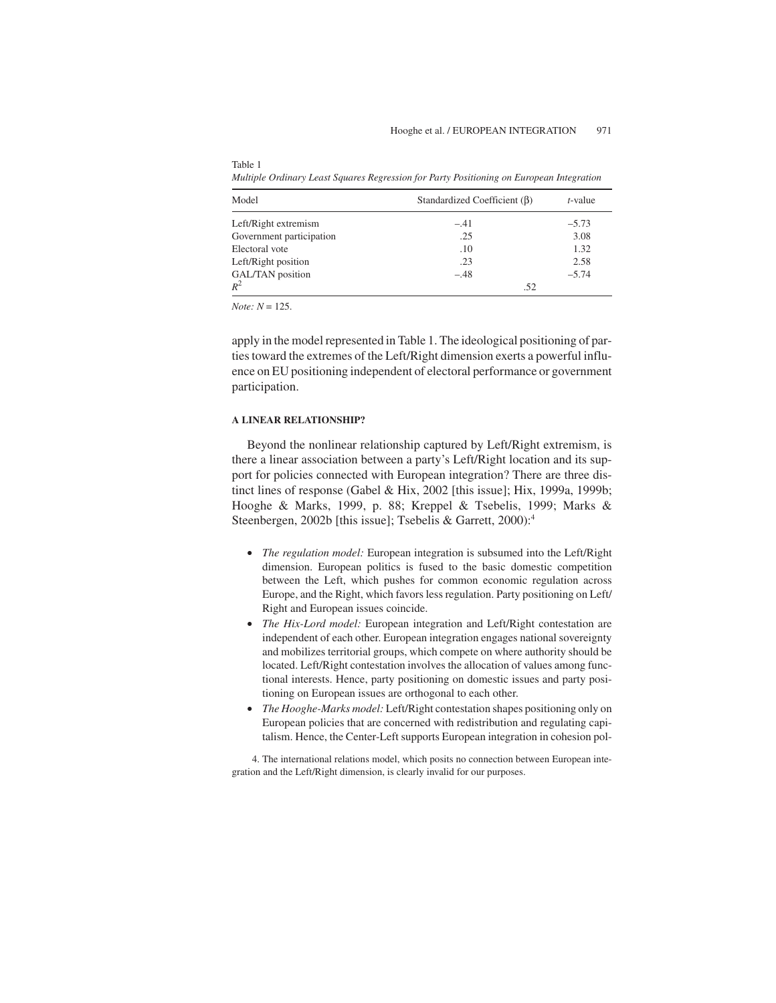| Model                    | Standardized Coefficient $(\beta)$ | <i>t</i> -value |  |  |
|--------------------------|------------------------------------|-----------------|--|--|
| Left/Right extremism     | $-.41$                             | $-5.73$         |  |  |
| Government participation | .25                                | 3.08            |  |  |
| Electoral vote           | .10                                | 1.32            |  |  |
| Left/Right position      | .23                                | 2.58            |  |  |
| GAL/TAN position         | $-.48$                             | $-5.74$         |  |  |
| $R^2$                    | .52                                |                 |  |  |

*Multiple Ordinary Least Squares Regression for Party Positioning on European Integration*

*Note: N* = 125.

Table 1

apply in the model represented in Table 1. The ideological positioning of parties toward the extremes of the Left/Right dimension exerts a powerful influence on EU positioning independent of electoral performance or government participation.

#### **A LINEAR RELATIONSHIP?**

Beyond the nonlinear relationship captured by Left/Right extremism, is there a linear association between a party's Left/Right location and its support for policies connected with European integration? There are three distinct lines of response (Gabel & Hix, 2002 [this issue]; Hix, 1999a, 1999b; Hooghe & Marks, 1999, p. 88; Kreppel & Tsebelis, 1999; Marks & Steenbergen, 2002b [this issue]; Tsebelis & Garrett, 2000):<sup>4</sup>

- *The regulation model:* European integration is subsumed into the Left/Right dimension. European politics is fused to the basic domestic competition between the Left, which pushes for common economic regulation across Europe, and the Right, which favors less regulation. Party positioning on Left/ Right and European issues coincide.
- *The Hix-Lord model:* European integration and Left/Right contestation are independent of each other. European integration engages national sovereignty and mobilizes territorial groups, which compete on where authority should be located. Left/Right contestation involves the allocation of values among functional interests. Hence, party positioning on domestic issues and party positioning on European issues are orthogonal to each other.
- *The Hooghe-Marks model:* Left/Right contestation shapes positioning only on European policies that are concerned with redistribution and regulating capitalism. Hence, the Center-Left supports European integration in cohesion pol-

4. The international relations model, which posits no connection between European integration and the Left/Right dimension, is clearly invalid for our purposes.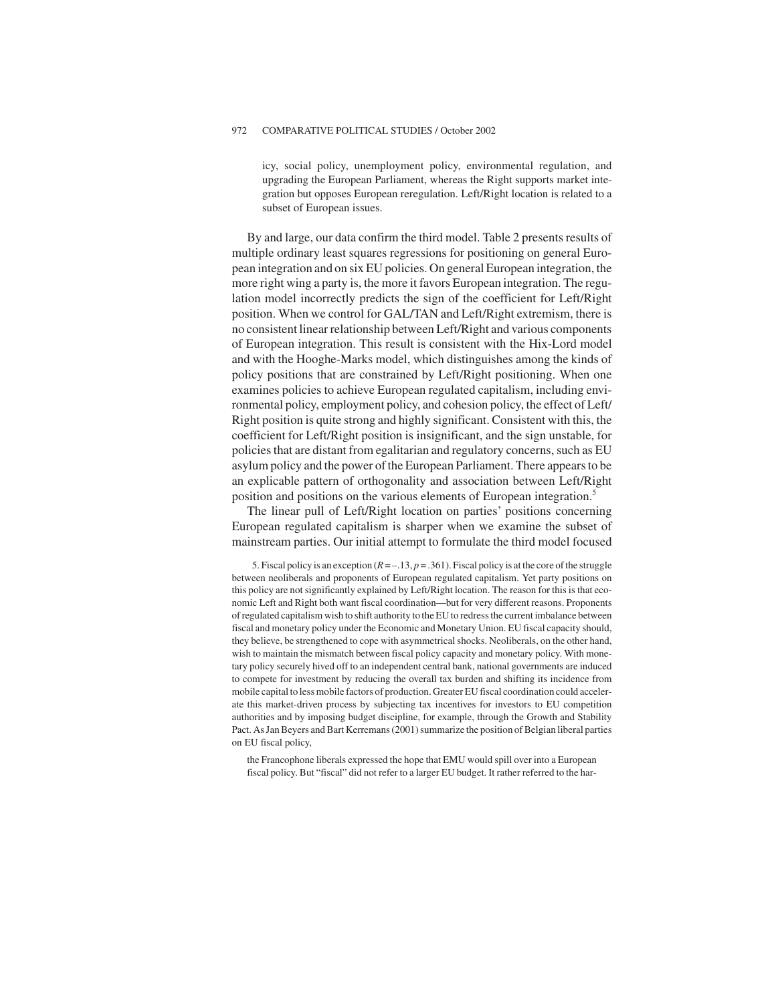icy, social policy, unemployment policy, environmental regulation, and upgrading the European Parliament, whereas the Right supports market integration but opposes European reregulation. Left/Right location is related to a subset of European issues.

By and large, our data confirm the third model. Table 2 presents results of multiple ordinary least squares regressions for positioning on general European integration and on six EU policies. On general European integration, the more right wing a party is, the more it favors European integration. The regulation model incorrectly predicts the sign of the coefficient for Left/Right position. When we control for GAL/TAN and Left/Right extremism, there is no consistent linear relationship between Left/Right and various components of European integration. This result is consistent with the Hix-Lord model and with the Hooghe-Marks model, which distinguishes among the kinds of policy positions that are constrained by Left/Right positioning. When one examines policies to achieve European regulated capitalism, including environmental policy, employment policy, and cohesion policy, the effect of Left/ Right position is quite strong and highly significant. Consistent with this, the coefficient for Left/Right position is insignificant, and the sign unstable, for policies that are distant from egalitarian and regulatory concerns, such as EU asylum policy and the power of the European Parliament. There appears to be an explicable pattern of orthogonality and association between Left/Right position and positions on the various elements of European integration.5

The linear pull of Left/Right location on parties' positions concerning European regulated capitalism is sharper when we examine the subset of mainstream parties. Our initial attempt to formulate the third model focused

5. Fiscal policy is an exception  $(R = -13, p = .361)$ . Fiscal policy is at the core of the struggle between neoliberals and proponents of European regulated capitalism. Yet party positions on this policy are not significantly explained by Left/Right location. The reason for this is that economic Left and Right both want fiscal coordination—but for very different reasons. Proponents of regulated capitalism wish to shift authority to the EU to redress the current imbalance between fiscal and monetary policy under the Economic and Monetary Union. EU fiscal capacity should, they believe, be strengthened to cope with asymmetrical shocks. Neoliberals, on the other hand, wish to maintain the mismatch between fiscal policy capacity and monetary policy. With monetary policy securely hived off to an independent central bank, national governments are induced to compete for investment by reducing the overall tax burden and shifting its incidence from mobile capital to less mobile factors of production. Greater EU fiscal coordination could accelerate this market-driven process by subjecting tax incentives for investors to EU competition authorities and by imposing budget discipline, for example, through the Growth and Stability Pact. As Jan Beyers and Bart Kerremans (2001) summarize the position of Belgian liberal parties on EU fiscal policy,

the Francophone liberals expressed the hope that EMU would spill over into a European fiscal policy. But "fiscal" did not refer to a larger EU budget. It rather referred to the har-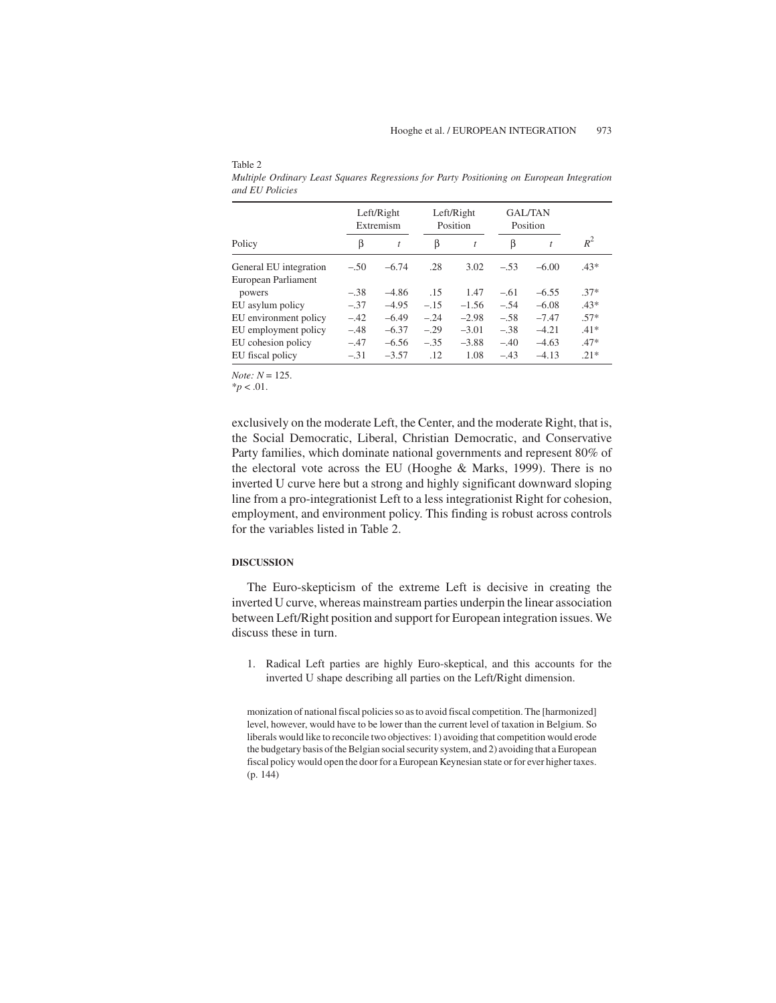|                        | Left/Right<br>Extremism |         | Left/Right<br>Position |                  | <b>GAL/TAN</b><br>Position |         |        |
|------------------------|-------------------------|---------|------------------------|------------------|----------------------------|---------|--------|
| Policy                 | β                       | t       | β                      | $\boldsymbol{t}$ | β                          | t       | $R^2$  |
| General EU integration | $-.50$                  | $-6.74$ | .28                    | 3.02             | $-.53$                     | $-6.00$ | $.43*$ |
| European Parliament    |                         |         |                        |                  |                            |         |        |
| powers                 | $-.38$                  | $-4.86$ | .15                    | 1.47             | $-.61$                     | $-6.55$ | $.37*$ |
| EU asylum policy       | $-.37$                  | $-4.95$ | $-.15$                 | $-1.56$          | $-.54$                     | $-6.08$ | $.43*$ |
| EU environment policy  | $-.42$                  | $-6.49$ | $-.24$                 | $-2.98$          | $-.58$                     | $-7.47$ | $.57*$ |
| EU employment policy   | $-.48$                  | $-6.37$ | $-.29$                 | $-3.01$          | $-.38$                     | $-4.21$ | $.41*$ |
| EU cohesion policy     | $-.47$                  | $-6.56$ | $-.35$                 | $-3.88$          | $-.40$                     | $-4.63$ | $.47*$ |
| EU fiscal policy       | $-.31$                  | $-3.57$ | .12                    | 1.08             | $-.43$                     | $-4.13$ | $.21*$ |

*Multiple Ordinary Least Squares Regressions for Party Positioning on European Integration and EU Policies*

*Note: N* = 125.  $* p < .01.$ 

Table 2

exclusively on the moderate Left, the Center, and the moderate Right, that is, the Social Democratic, Liberal, Christian Democratic, and Conservative Party families, which dominate national governments and represent 80% of the electoral vote across the EU (Hooghe & Marks, 1999). There is no inverted U curve here but a strong and highly significant downward sloping line from a pro-integrationist Left to a less integrationist Right for cohesion, employment, and environment policy. This finding is robust across controls for the variables listed in Table 2.

## **DISCUSSION**

The Euro-skepticism of the extreme Left is decisive in creating the inverted U curve, whereas mainstream parties underpin the linear association between Left/Right position and support for European integration issues. We discuss these in turn.

1. Radical Left parties are highly Euro-skeptical, and this accounts for the inverted U shape describing all parties on the Left/Right dimension.

monization of national fiscal policies so as to avoid fiscal competition. The [harmonized] level, however, would have to be lower than the current level of taxation in Belgium. So liberals would like to reconcile two objectives: 1) avoiding that competition would erode the budgetary basis of the Belgian social security system, and 2) avoiding that a European fiscal policy would open the door for a European Keynesian state or for ever higher taxes. (p. 144)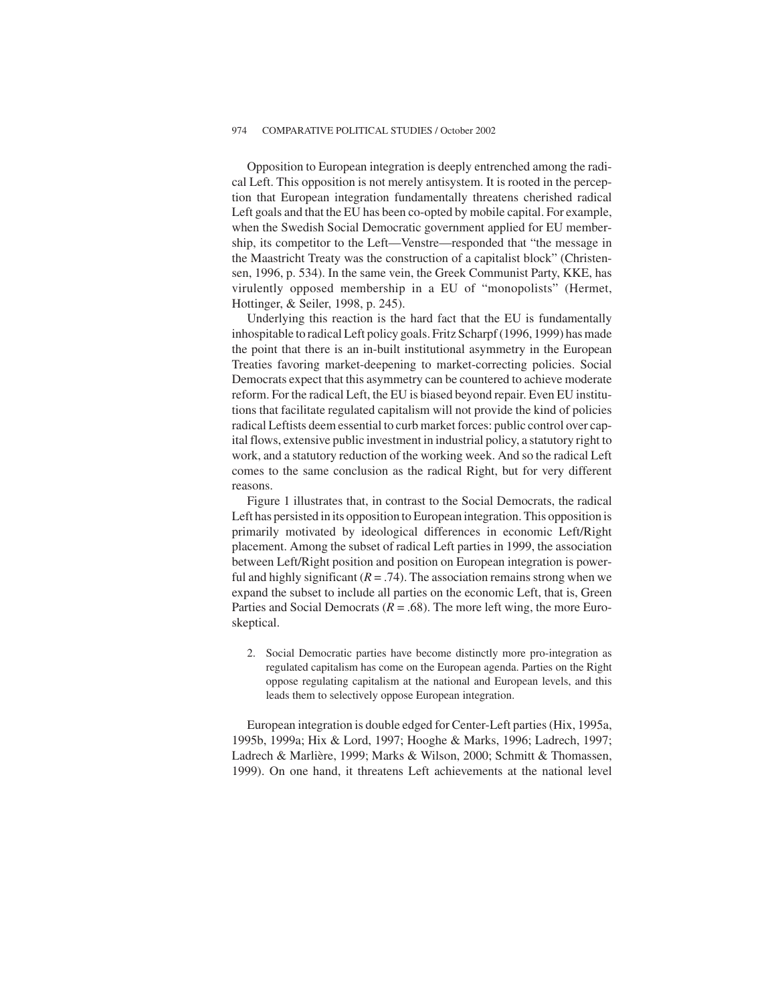Opposition to European integration is deeply entrenched among the radical Left. This opposition is not merely antisystem. It is rooted in the perception that European integration fundamentally threatens cherished radical Left goals and that the EU has been co-opted by mobile capital. For example, when the Swedish Social Democratic government applied for EU membership, its competitor to the Left—Venstre—responded that "the message in the Maastricht Treaty was the construction of a capitalist block" (Christensen, 1996, p. 534). In the same vein, the Greek Communist Party, KKE, has virulently opposed membership in a EU of "monopolists" (Hermet, Hottinger, & Seiler, 1998, p. 245).

Underlying this reaction is the hard fact that the EU is fundamentally inhospitable to radical Left policy goals. Fritz Scharpf (1996, 1999) has made the point that there is an in-built institutional asymmetry in the European Treaties favoring market-deepening to market-correcting policies. Social Democrats expect that this asymmetry can be countered to achieve moderate reform. For the radical Left, the EU is biased beyond repair. Even EU institutions that facilitate regulated capitalism will not provide the kind of policies radical Leftists deem essential to curb market forces: public control over capital flows, extensive public investment in industrial policy, a statutory right to work, and a statutory reduction of the working week. And so the radical Left comes to the same conclusion as the radical Right, but for very different reasons.

Figure 1 illustrates that, in contrast to the Social Democrats, the radical Left has persisted in its opposition to European integration. This opposition is primarily motivated by ideological differences in economic Left/Right placement. Among the subset of radical Left parties in 1999, the association between Left/Right position and position on European integration is powerful and highly significant  $(R = .74)$ . The association remains strong when we expand the subset to include all parties on the economic Left, that is, Green Parties and Social Democrats ( $R = .68$ ). The more left wing, the more Euroskeptical.

2. Social Democratic parties have become distinctly more pro-integration as regulated capitalism has come on the European agenda. Parties on the Right oppose regulating capitalism at the national and European levels, and this leads them to selectively oppose European integration.

European integration is double edged for Center-Left parties (Hix, 1995a, 1995b, 1999a; Hix & Lord, 1997; Hooghe & Marks, 1996; Ladrech, 1997; Ladrech & Marlière, 1999; Marks & Wilson, 2000; Schmitt & Thomassen, 1999). On one hand, it threatens Left achievements at the national level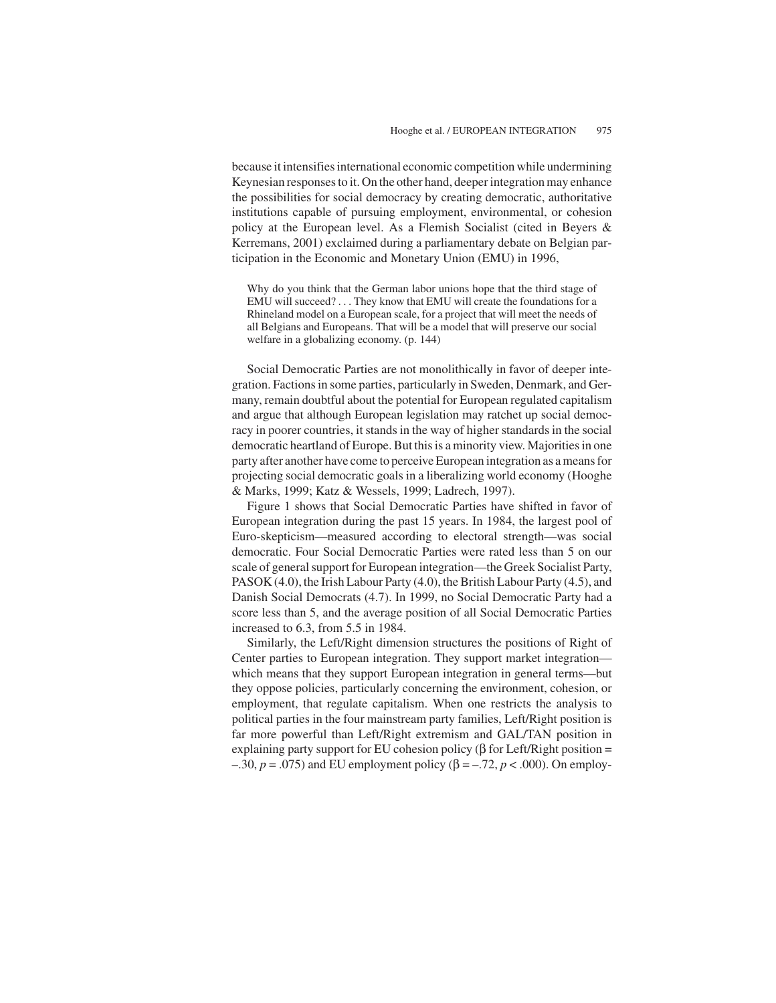because it intensifies international economic competition while undermining Keynesian responses to it. On the other hand, deeper integration may enhance the possibilities for social democracy by creating democratic, authoritative institutions capable of pursuing employment, environmental, or cohesion policy at the European level. As a Flemish Socialist (cited in Beyers & Kerremans, 2001) exclaimed during a parliamentary debate on Belgian participation in the Economic and Monetary Union (EMU) in 1996,

Why do you think that the German labor unions hope that the third stage of EMU will succeed? . . . They know that EMU will create the foundations for a Rhineland model on a European scale, for a project that will meet the needs of all Belgians and Europeans. That will be a model that will preserve our social welfare in a globalizing economy. (p. 144)

Social Democratic Parties are not monolithically in favor of deeper integration. Factions in some parties, particularly in Sweden, Denmark, and Germany, remain doubtful about the potential for European regulated capitalism and argue that although European legislation may ratchet up social democracy in poorer countries, it stands in the way of higher standards in the social democratic heartland of Europe. But this is a minority view. Majorities in one party after another have come to perceive European integration as a means for projecting social democratic goals in a liberalizing world economy (Hooghe & Marks, 1999; Katz & Wessels, 1999; Ladrech, 1997).

Figure 1 shows that Social Democratic Parties have shifted in favor of European integration during the past 15 years. In 1984, the largest pool of Euro-skepticism—measured according to electoral strength—was social democratic. Four Social Democratic Parties were rated less than 5 on our scale of general support for European integration—the Greek Socialist Party, PASOK (4.0), the Irish Labour Party (4.0), the British Labour Party (4.5), and Danish Social Democrats (4.7). In 1999, no Social Democratic Party had a score less than 5, and the average position of all Social Democratic Parties increased to 6.3, from 5.5 in 1984.

Similarly, the Left/Right dimension structures the positions of Right of Center parties to European integration. They support market integration which means that they support European integration in general terms—but they oppose policies, particularly concerning the environment, cohesion, or employment, that regulate capitalism. When one restricts the analysis to political parties in the four mainstream party families, Left/Right position is far more powerful than Left/Right extremism and GAL/TAN position in explaining party support for EU cohesion policy ( $\beta$  for Left/Right position =  $-0.30, p = 0.075$ ) and EU employment policy ( $\beta = -0.72, p < 0.00$ ). On employ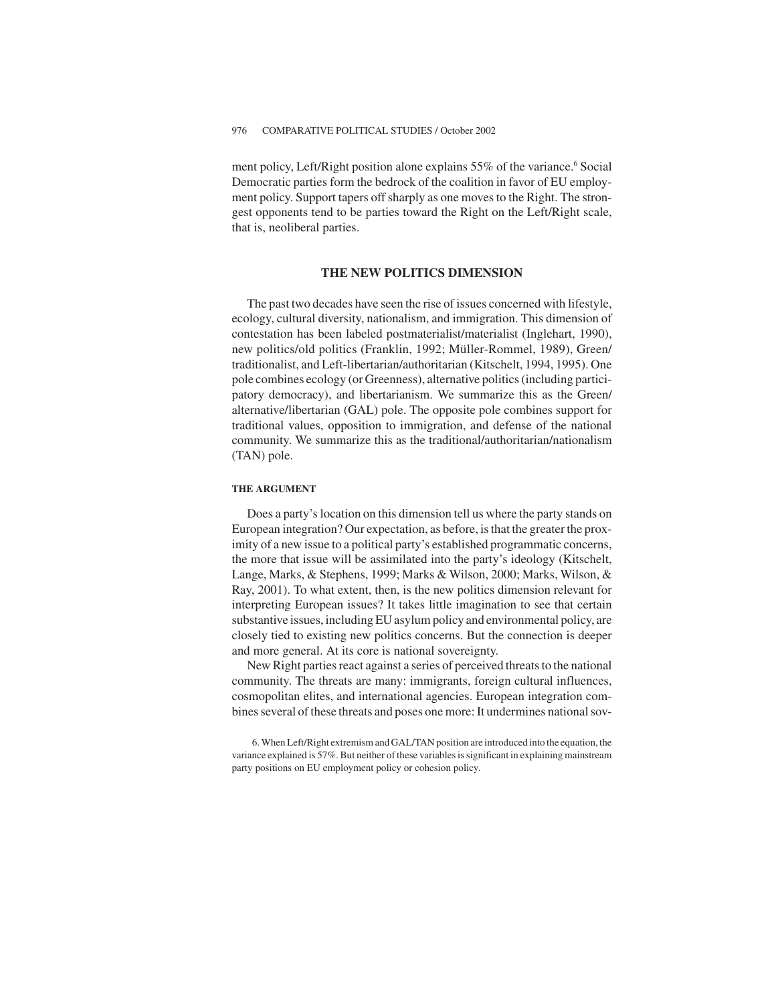ment policy, Left/Right position alone explains  $55\%$  of the variance.<sup>6</sup> Social Democratic parties form the bedrock of the coalition in favor of EU employment policy. Support tapers off sharply as one moves to the Right. The strongest opponents tend to be parties toward the Right on the Left/Right scale, that is, neoliberal parties.

## **THE NEW POLITICS DIMENSION**

The past two decades have seen the rise of issues concerned with lifestyle, ecology, cultural diversity, nationalism, and immigration. This dimension of contestation has been labeled postmaterialist/materialist (Inglehart, 1990), new politics/old politics (Franklin, 1992; Müller-Rommel, 1989), Green/ traditionalist, and Left-libertarian/authoritarian (Kitschelt, 1994, 1995). One pole combines ecology (or Greenness), alternative politics (including participatory democracy), and libertarianism. We summarize this as the Green/ alternative/libertarian (GAL) pole. The opposite pole combines support for traditional values, opposition to immigration, and defense of the national community. We summarize this as the traditional/authoritarian/nationalism (TAN) pole.

## **THE ARGUMENT**

Does a party's location on this dimension tell us where the party stands on European integration? Our expectation, as before, is that the greater the proximity of a new issue to a political party's established programmatic concerns, the more that issue will be assimilated into the party's ideology (Kitschelt, Lange, Marks, & Stephens, 1999; Marks & Wilson, 2000; Marks, Wilson, & Ray, 2001). To what extent, then, is the new politics dimension relevant for interpreting European issues? It takes little imagination to see that certain substantive issues, including EU asylum policy and environmental policy, are closely tied to existing new politics concerns. But the connection is deeper and more general. At its core is national sovereignty.

New Right parties react against a series of perceived threats to the national community. The threats are many: immigrants, foreign cultural influences, cosmopolitan elites, and international agencies. European integration combines several of these threats and poses one more: It undermines national sov-

<sup>6.</sup> When Left/Right extremism and GAL/TAN position are introduced into the equation, the variance explained is 57%. But neither of these variables is significant in explaining mainstream party positions on EU employment policy or cohesion policy.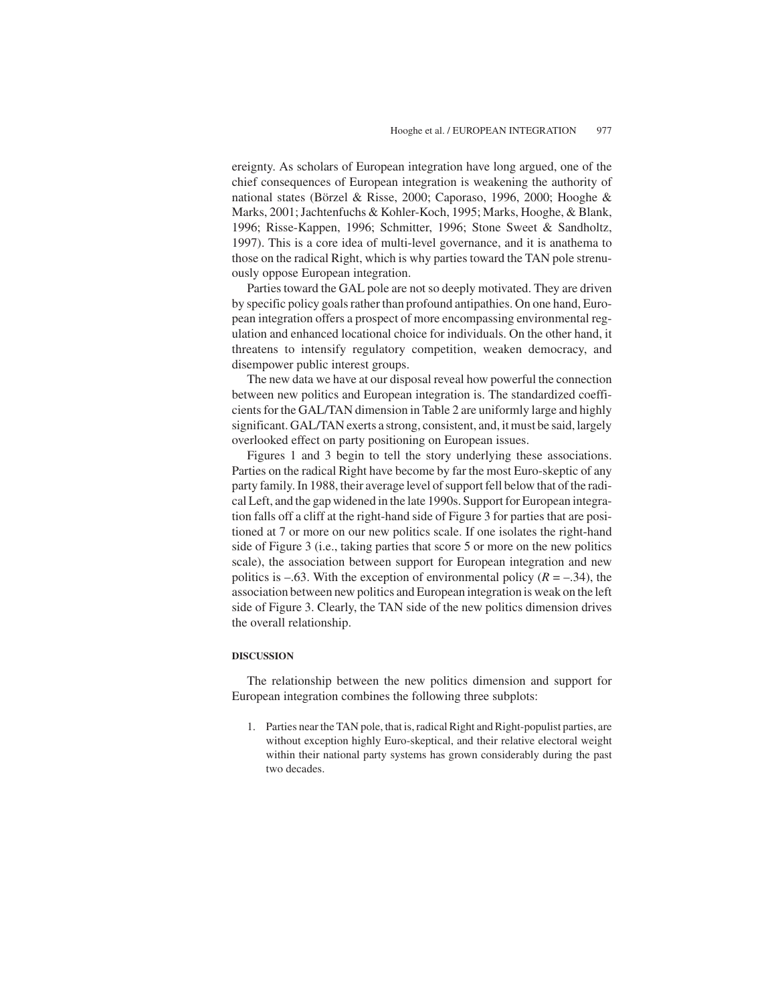ereignty. As scholars of European integration have long argued, one of the chief consequences of European integration is weakening the authority of national states (Börzel & Risse, 2000; Caporaso, 1996, 2000; Hooghe & Marks, 2001; Jachtenfuchs & Kohler-Koch, 1995; Marks, Hooghe, & Blank, 1996; Risse-Kappen, 1996; Schmitter, 1996; Stone Sweet & Sandholtz, 1997). This is a core idea of multi-level governance, and it is anathema to those on the radical Right, which is why parties toward the TAN pole strenuously oppose European integration.

Parties toward the GAL pole are not so deeply motivated. They are driven by specific policy goals rather than profound antipathies. On one hand, European integration offers a prospect of more encompassing environmental regulation and enhanced locational choice for individuals. On the other hand, it threatens to intensify regulatory competition, weaken democracy, and disempower public interest groups.

The new data we have at our disposal reveal how powerful the connection between new politics and European integration is. The standardized coefficients for the GAL/TAN dimension in Table 2 are uniformly large and highly significant. GAL/TAN exerts a strong, consistent, and, it must be said, largely overlooked effect on party positioning on European issues.

Figures 1 and 3 begin to tell the story underlying these associations. Parties on the radical Right have become by far the most Euro-skeptic of any party family. In 1988, their average level of support fell below that of the radical Left, and the gap widened in the late 1990s. Support for European integration falls off a cliff at the right-hand side of Figure 3 for parties that are positioned at 7 or more on our new politics scale. If one isolates the right-hand side of Figure 3 (i.e., taking parties that score 5 or more on the new politics scale), the association between support for European integration and new politics is  $-.63$ . With the exception of environmental policy ( $R = -.34$ ), the association between new politics and European integration is weak on the left side of Figure 3. Clearly, the TAN side of the new politics dimension drives the overall relationship.

## **DISCUSSION**

The relationship between the new politics dimension and support for European integration combines the following three subplots:

1. Parties near the TAN pole, that is, radical Right and Right-populist parties, are without exception highly Euro-skeptical, and their relative electoral weight within their national party systems has grown considerably during the past two decades.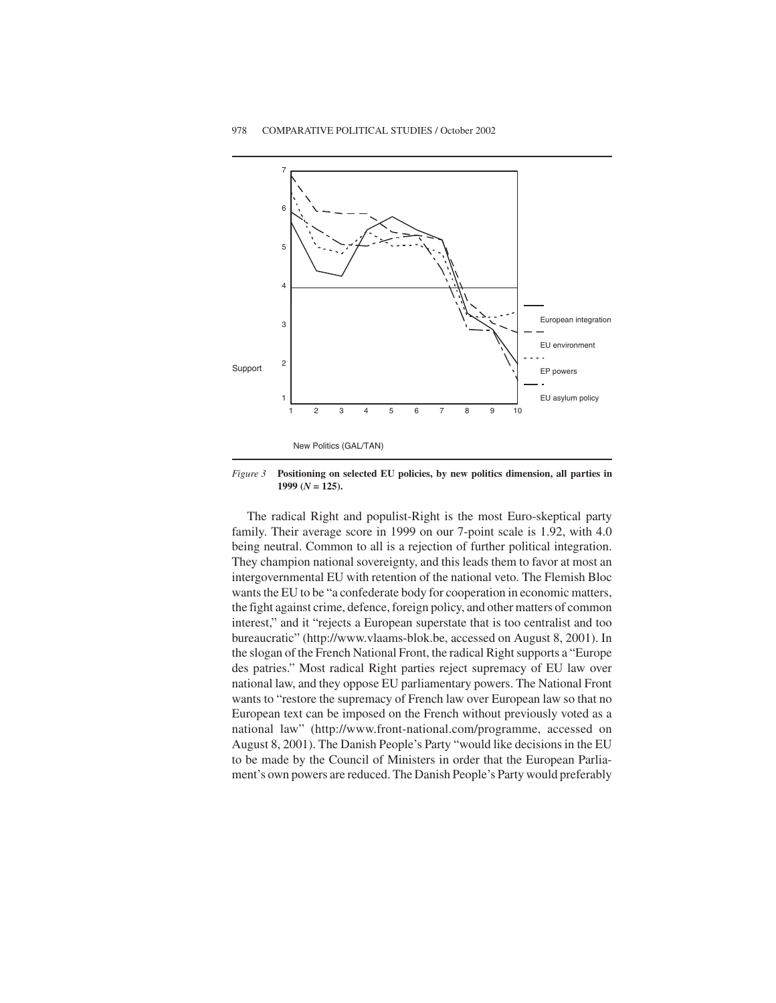

*Figure 3* **Positioning on selected EU policies, by new politics dimension, all parties in 1999 (***N* **= 125).**

The radical Right and populist-Right is the most Euro-skeptical party family. Their average score in 1999 on our 7-point scale is 1.92, with 4.0 being neutral. Common to all is a rejection of further political integration. They champion national sovereignty, and this leads them to favor at most an intergovernmental EU with retention of the national veto. The Flemish Bloc wants the EU to be "a confederate body for cooperation in economic matters, the fight against crime, defence, foreign policy, and other matters of common interest," and it "rejects a European superstate that is too centralist and too bureaucratic" (http://www.vlaams-blok.be, accessed on August 8, 2001). In the slogan of the French National Front, the radical Right supports a "Europe des patries." Most radical Right parties reject supremacy of EU law over national law, and they oppose EU parliamentary powers. The National Front wants to "restore the supremacy of French law over European law so that no European text can be imposed on the French without previously voted as a national law" (http://www.front-national.com/programme, accessed on August 8, 2001). The Danish People's Party "would like decisions in the EU to be made by the Council of Ministers in order that the European Parliament's own powers are reduced. The Danish People's Party would preferably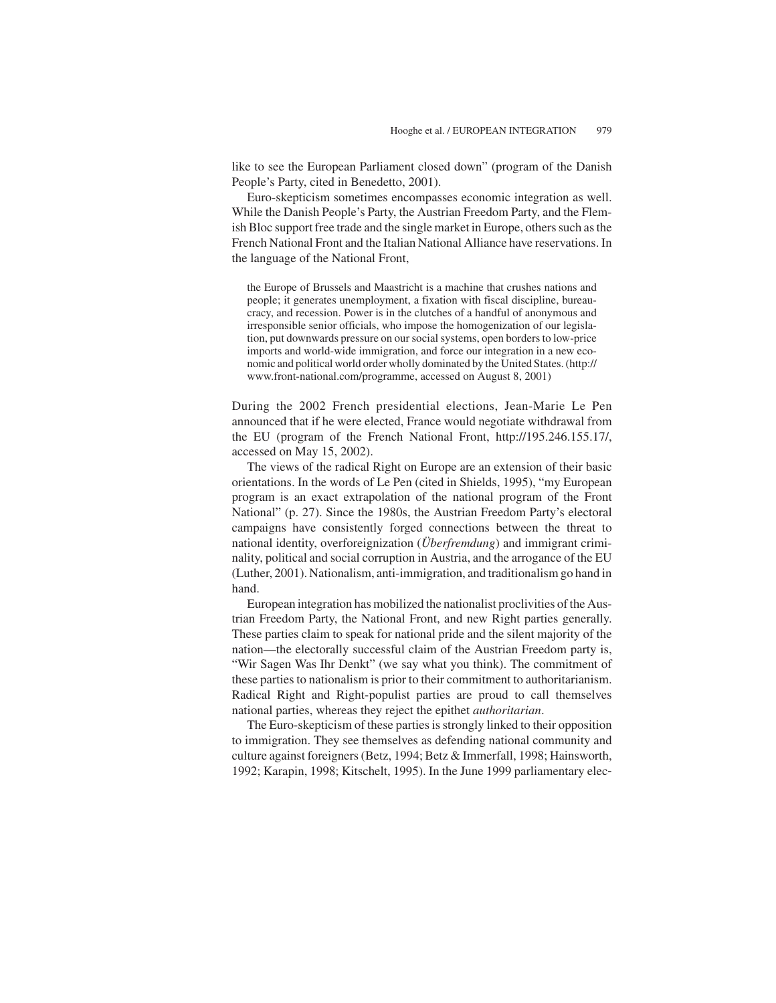like to see the European Parliament closed down" (program of the Danish People's Party, cited in Benedetto, 2001).

Euro-skepticism sometimes encompasses economic integration as well. While the Danish People's Party, the Austrian Freedom Party, and the Flemish Bloc support free trade and the single market in Europe, others such as the French National Front and the Italian National Alliance have reservations. In the language of the National Front,

the Europe of Brussels and Maastricht is a machine that crushes nations and people; it generates unemployment, a fixation with fiscal discipline, bureaucracy, and recession. Power is in the clutches of a handful of anonymous and irresponsible senior officials, who impose the homogenization of our legislation, put downwards pressure on our social systems, open borders to low-price imports and world-wide immigration, and force our integration in a new economic and political world order wholly dominated by the United States. (http:// www.front-national.com/programme, accessed on August 8, 2001)

During the 2002 French presidential elections, Jean-Marie Le Pen announced that if he were elected, France would negotiate withdrawal from the EU (program of the French National Front, http://195.246.155.17/, accessed on May 15, 2002).

The views of the radical Right on Europe are an extension of their basic orientations. In the words of Le Pen (cited in Shields, 1995), "my European program is an exact extrapolation of the national program of the Front National" (p. 27). Since the 1980s, the Austrian Freedom Party's electoral campaigns have consistently forged connections between the threat to national identity, overforeignization (*Überfremdung*) and immigrant criminality, political and social corruption in Austria, and the arrogance of the EU (Luther, 2001). Nationalism, anti-immigration, and traditionalism go hand in hand.

European integration has mobilized the nationalist proclivities of the Austrian Freedom Party, the National Front, and new Right parties generally. These parties claim to speak for national pride and the silent majority of the nation—the electorally successful claim of the Austrian Freedom party is, "Wir Sagen Was Ihr Denkt" (we say what you think). The commitment of these parties to nationalism is prior to their commitment to authoritarianism. Radical Right and Right-populist parties are proud to call themselves national parties, whereas they reject the epithet *authoritarian*.

The Euro-skepticism of these parties is strongly linked to their opposition to immigration. They see themselves as defending national community and culture against foreigners (Betz, 1994; Betz & Immerfall, 1998; Hainsworth, 1992; Karapin, 1998; Kitschelt, 1995). In the June 1999 parliamentary elec-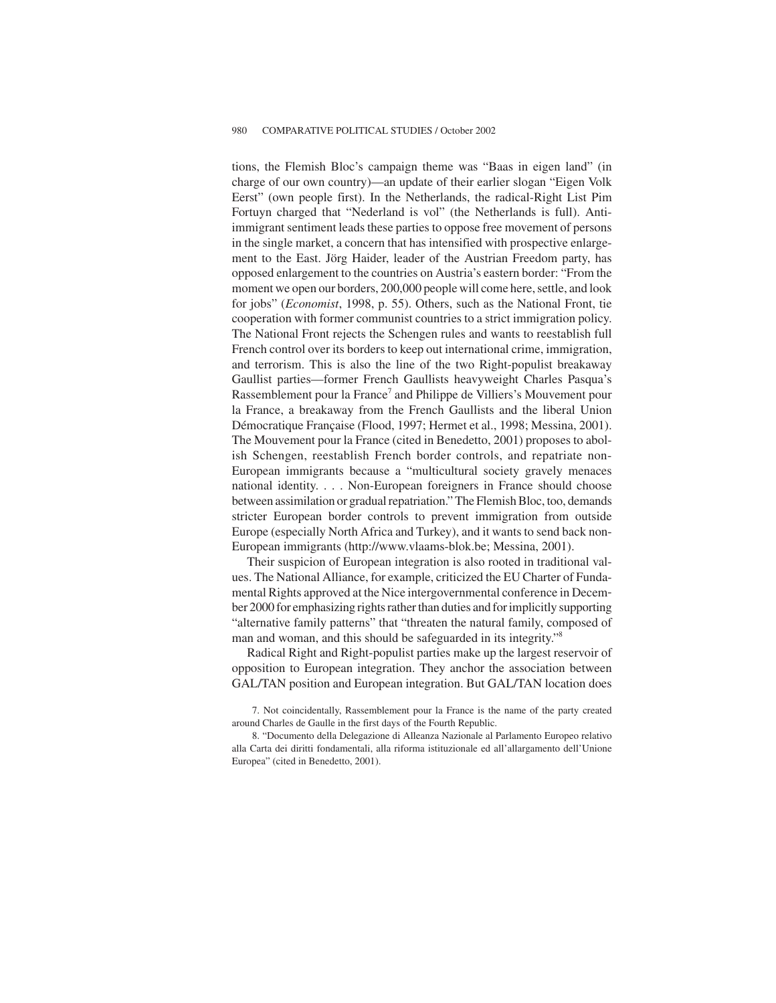tions, the Flemish Bloc's campaign theme was "Baas in eigen land" (in charge of our own country)—an update of their earlier slogan "Eigen Volk Eerst" (own people first). In the Netherlands, the radical-Right List Pim Fortuyn charged that "Nederland is vol" (the Netherlands is full). Antiimmigrant sentiment leads these parties to oppose free movement of persons in the single market, a concern that has intensified with prospective enlargement to the East. Jörg Haider, leader of the Austrian Freedom party, has opposed enlargement to the countries on Austria's eastern border: "From the moment we open our borders, 200,000 people will come here, settle, and look for jobs" (*Economist*, 1998, p. 55). Others, such as the National Front, tie cooperation with former communist countries to a strict immigration policy. The National Front rejects the Schengen rules and wants to reestablish full French control over its borders to keep out international crime, immigration, and terrorism. This is also the line of the two Right-populist breakaway Gaullist parties—former French Gaullists heavyweight Charles Pasqua's Rassemblement pour la France<sup>7</sup> and Philippe de Villiers's Mouvement pour la France, a breakaway from the French Gaullists and the liberal Union Démocratique Française (Flood, 1997; Hermet et al., 1998; Messina, 2001). The Mouvement pour la France (cited in Benedetto, 2001) proposes to abolish Schengen, reestablish French border controls, and repatriate non-European immigrants because a "multicultural society gravely menaces national identity.... Non-European foreigners in France should choose between assimilation or gradual repatriation." The Flemish Bloc, too, demands stricter European border controls to prevent immigration from outside Europe (especially North Africa and Turkey), and it wants to send back non-European immigrants (http://www.vlaams-blok.be; Messina, 2001).

Their suspicion of European integration is also rooted in traditional values. The National Alliance, for example, criticized the EU Charter of Fundamental Rights approved at the Nice intergovernmental conference in December 2000 for emphasizing rights rather than duties and for implicitly supporting "alternative family patterns" that "threaten the natural family, composed of man and woman, and this should be safeguarded in its integrity."8

Radical Right and Right-populist parties make up the largest reservoir of opposition to European integration. They anchor the association between GAL/TAN position and European integration. But GAL/TAN location does

7. Not coincidentally, Rassemblement pour la France is the name of the party created around Charles de Gaulle in the first days of the Fourth Republic.

8. "Documento della Delegazione di Alleanza Nazionale al Parlamento Europeo relativo alla Carta dei diritti fondamentali, alla riforma istituzionale ed all'allargamento dell'Unione Europea" (cited in Benedetto, 2001).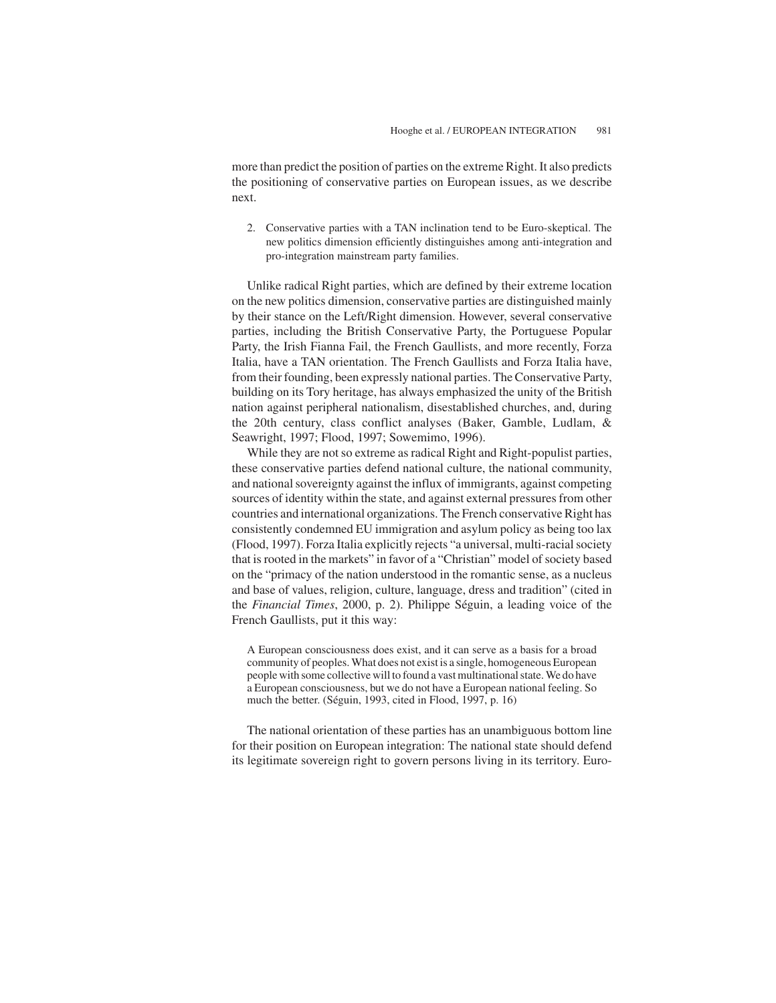more than predict the position of parties on the extreme Right. It also predicts the positioning of conservative parties on European issues, as we describe next.

2. Conservative parties with a TAN inclination tend to be Euro-skeptical. The new politics dimension efficiently distinguishes among anti-integration and pro-integration mainstream party families.

Unlike radical Right parties, which are defined by their extreme location on the new politics dimension, conservative parties are distinguished mainly by their stance on the Left/Right dimension. However, several conservative parties, including the British Conservative Party, the Portuguese Popular Party, the Irish Fianna Fail, the French Gaullists, and more recently, Forza Italia, have a TAN orientation. The French Gaullists and Forza Italia have, from their founding, been expressly national parties. The Conservative Party, building on its Tory heritage, has always emphasized the unity of the British nation against peripheral nationalism, disestablished churches, and, during the 20th century, class conflict analyses (Baker, Gamble, Ludlam, & Seawright, 1997; Flood, 1997; Sowemimo, 1996).

While they are not so extreme as radical Right and Right-populist parties, these conservative parties defend national culture, the national community, and national sovereignty against the influx of immigrants, against competing sources of identity within the state, and against external pressures from other countries and international organizations. The French conservative Right has consistently condemned EU immigration and asylum policy as being too lax (Flood, 1997). Forza Italia explicitly rejects "a universal, multi-racial society that is rooted in the markets" in favor of a "Christian" model of society based on the "primacy of the nation understood in the romantic sense, as a nucleus and base of values, religion, culture, language, dress and tradition" (cited in the *Financial Times*, 2000, p. 2). Philippe Séguin, a leading voice of the French Gaullists, put it this way:

A European consciousness does exist, and it can serve as a basis for a broad community of peoples. What does not exist is a single, homogeneous European people with some collective will to found a vast multinational state. We do have a European consciousness, but we do not have a European national feeling. So much the better. (Séguin, 1993, cited in Flood, 1997, p. 16)

The national orientation of these parties has an unambiguous bottom line for their position on European integration: The national state should defend its legitimate sovereign right to govern persons living in its territory. Euro-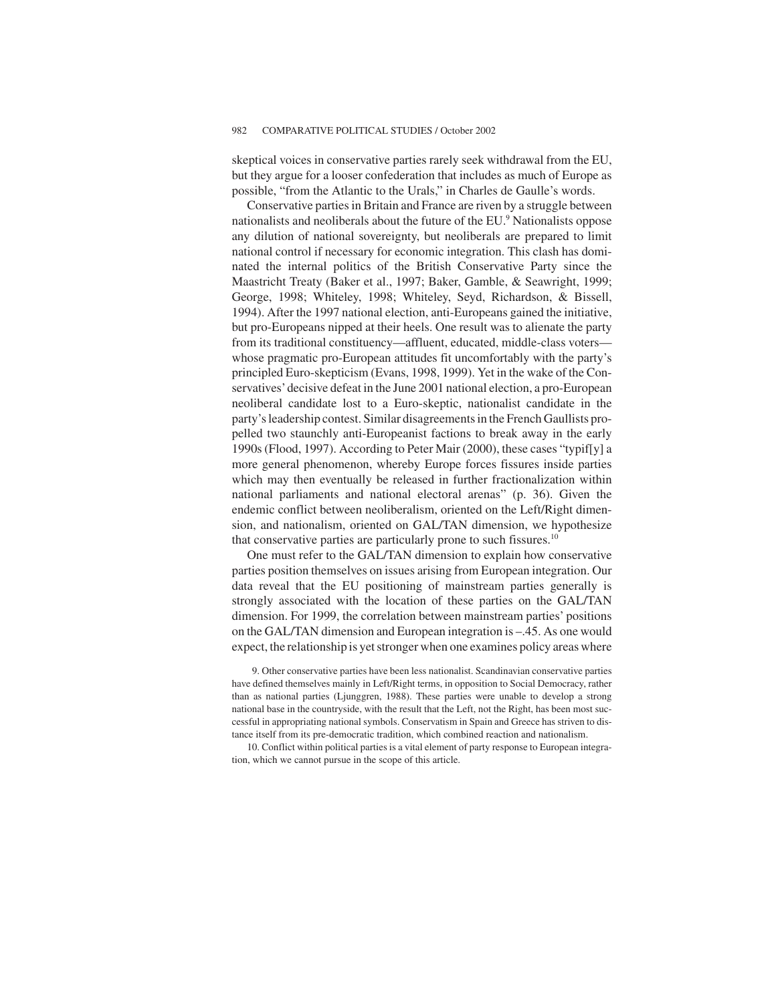skeptical voices in conservative parties rarely seek withdrawal from the EU, but they argue for a looser confederation that includes as much of Europe as possible, "from the Atlantic to the Urals," in Charles de Gaulle's words.

Conservative parties in Britain and France are riven by a struggle between nationalists and neoliberals about the future of the EU.<sup>9</sup> Nationalists oppose any dilution of national sovereignty, but neoliberals are prepared to limit national control if necessary for economic integration. This clash has dominated the internal politics of the British Conservative Party since the Maastricht Treaty (Baker et al., 1997; Baker, Gamble, & Seawright, 1999; George, 1998; Whiteley, 1998; Whiteley, Seyd, Richardson, & Bissell, 1994). After the 1997 national election, anti-Europeans gained the initiative, but pro-Europeans nipped at their heels. One result was to alienate the party from its traditional constituency—affluent, educated, middle-class voters whose pragmatic pro-European attitudes fit uncomfortably with the party's principled Euro-skepticism (Evans, 1998, 1999). Yet in the wake of the Conservatives'decisive defeat in the June 2001 national election, a pro-European neoliberal candidate lost to a Euro-skeptic, nationalist candidate in the party's leadership contest. Similar disagreements in the French Gaullists propelled two staunchly anti-Europeanist factions to breakaway in the early 1990s (Flood, 1997). According to Peter Mair (2000), these cases "typif[y] a more general phenomenon, whereby Europe forces fissures inside parties which may then eventually be released in further fractionalization within national parliaments and national electoral arenas" (p. 36). Given the endemic conflict between neoliberalism, oriented on the Left/Right dimension, and nationalism, oriented on GAL/TAN dimension, we hypothesize that conservative parties are particularly prone to such fissures.10

One must refer to the GAL/TAN dimension to explain how conservative parties position themselves on issues arising from European integration. Our data reveal that the EU positioning of mainstream parties generally is strongly associated with the location of these parties on the GAL/TAN dimension. For 1999, the correlation between mainstream parties' positions on the GAL/TAN dimension and European integration is –.45. As one would expect, the relationship is yet stronger when one examines policy areas where

9. Other conservative parties have been less nationalist. Scandinavian conservative parties have defined themselves mainly in Left/Right terms, in opposition to Social Democracy, rather than as national parties (Ljunggren, 1988). These parties were unable to develop a strong national base in the countryside, with the result that the Left, not the Right, has been most successful in appropriating national symbols. Conservatism in Spain and Greece has striven to distance itself from its pre-democratic tradition, which combined reaction and nationalism.

10. Conflict within political parties is a vital element of party response to European integration, which we cannot pursue in the scope of this article.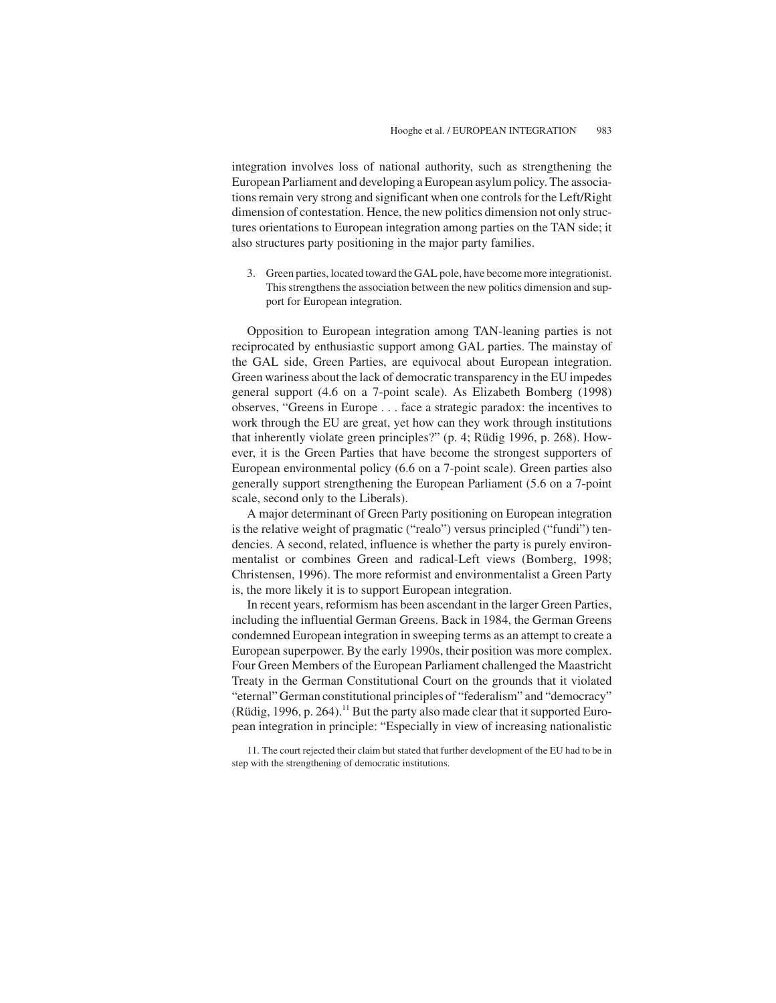integration involves loss of national authority, such as strengthening the European Parliament and developing a European asylum policy. The associations remain very strong and significant when one controls for the Left/Right dimension of contestation. Hence, the new politics dimension not only structures orientations to European integration among parties on the TAN side; it also structures party positioning in the major party families.

3. Green parties, located toward the GAL pole, have become more integrationist. This strengthens the association between the new politics dimension and support for European integration.

Opposition to European integration among TAN-leaning parties is not reciprocated by enthusiastic support among GAL parties. The mainstay of the GAL side, Green Parties, are equivocal about European integration. Green wariness about the lack of democratic transparency in the EU impedes general support (4.6 on a 7-point scale). As Elizabeth Bomberg (1998) observes, "Greens in Europe . . . face a strategic paradox: the incentives to work through the EU are great, yet how can they work through institutions that inherently violate green principles?" (p. 4; Rüdig 1996, p. 268). However, it is the Green Parties that have become the strongest supporters of European environmental policy (6.6 on a 7-point scale). Green parties also generally support strengthening the European Parliament (5.6 on a 7-point scale, second only to the Liberals).

A major determinant of Green Party positioning on European integration is the relative weight of pragmatic ("realo") versus principled ("fundi") tendencies. A second, related, influence is whether the party is purely environmentalist or combines Green and radical-Left views (Bomberg, 1998; Christensen, 1996). The more reformist and environmentalist a Green Party is, the more likely it is to support European integration.

In recent years, reformism has been ascendant in the larger Green Parties, including the influential German Greens. Back in 1984, the German Greens condemned European integration in sweeping terms as an attempt to create a European superpower. By the early 1990s, their position was more complex. Four Green Members of the European Parliament challenged the Maastricht Treaty in the German Constitutional Court on the grounds that it violated "eternal" German constitutional principles of "federalism" and "democracy" (Rüdig, 1996, p. 264).<sup>11</sup> But the party also made clear that it supported European integration in principle: "Especially in view of increasing nationalistic

11. The court rejected their claim but stated that further development of the EU had to be in step with the strengthening of democratic institutions.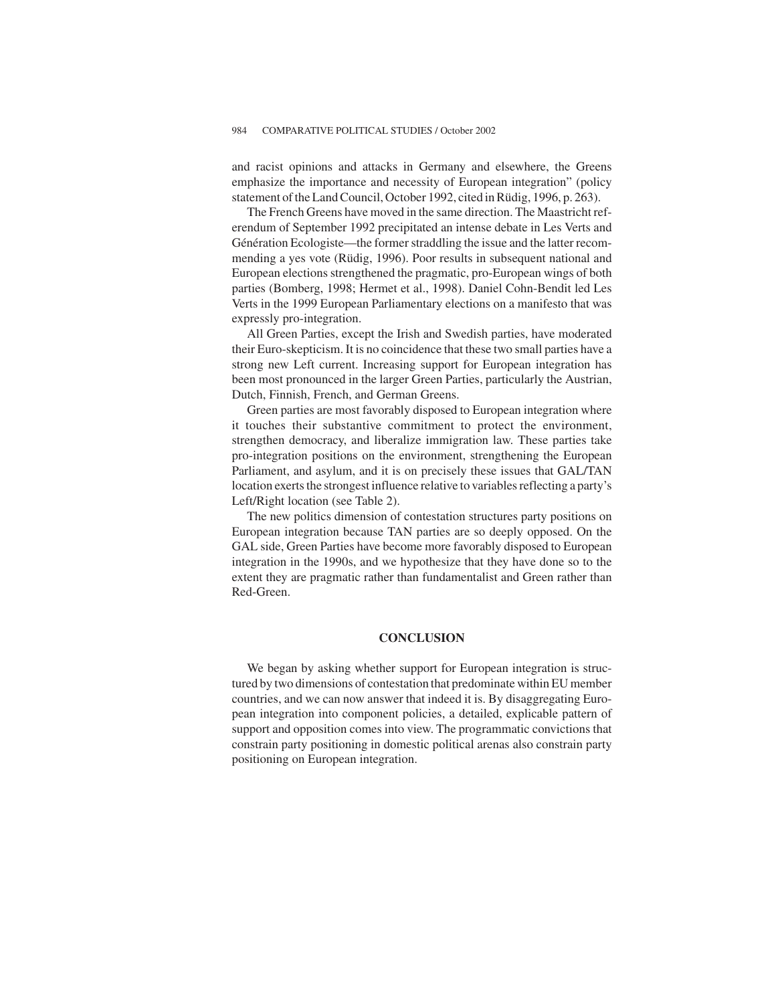and racist opinions and attacks in Germany and elsewhere, the Greens emphasize the importance and necessity of European integration" (policy statement of the Land Council, October 1992, cited in Rüdig, 1996, p. 263).

The French Greens have moved in the same direction. The Maastricht referendum of September 1992 precipitated an intense debate in Les Verts and Génération Ecologiste—the former straddling the issue and the latter recommending a yes vote (Rüdig, 1996). Poor results in subsequent national and European elections strengthened the pragmatic, pro-European wings of both parties (Bomberg, 1998; Hermet et al., 1998). Daniel Cohn-Bendit led Les Verts in the 1999 European Parliamentary elections on a manifesto that was expressly pro-integration.

All Green Parties, except the Irish and Swedish parties, have moderated their Euro-skepticism. It is no coincidence that these two small parties have a strong new Left current. Increasing support for European integration has been most pronounced in the larger Green Parties, particularly the Austrian, Dutch, Finnish, French, and German Greens.

Green parties are most favorably disposed to European integration where it touches their substantive commitment to protect the environment, strengthen democracy, and liberalize immigration law. These parties take pro-integration positions on the environment, strengthening the European Parliament, and asylum, and it is on precisely these issues that GAL/TAN location exerts the strongest influence relative to variables reflecting a party's Left/Right location (see Table 2).

The new politics dimension of contestation structures party positions on European integration because TAN parties are so deeply opposed. On the GAL side, Green Parties have become more favorably disposed to European integration in the 1990s, and we hypothesize that they have done so to the extent they are pragmatic rather than fundamentalist and Green rather than Red-Green.

### **CONCLUSION**

We began by asking whether support for European integration is structured by two dimensions of contestation that predominate within EU member countries, and we can now answer that indeed it is. By disaggregating European integration into component policies, a detailed, explicable pattern of support and opposition comes into view. The programmatic convictions that constrain party positioning in domestic political arenas also constrain party positioning on European integration.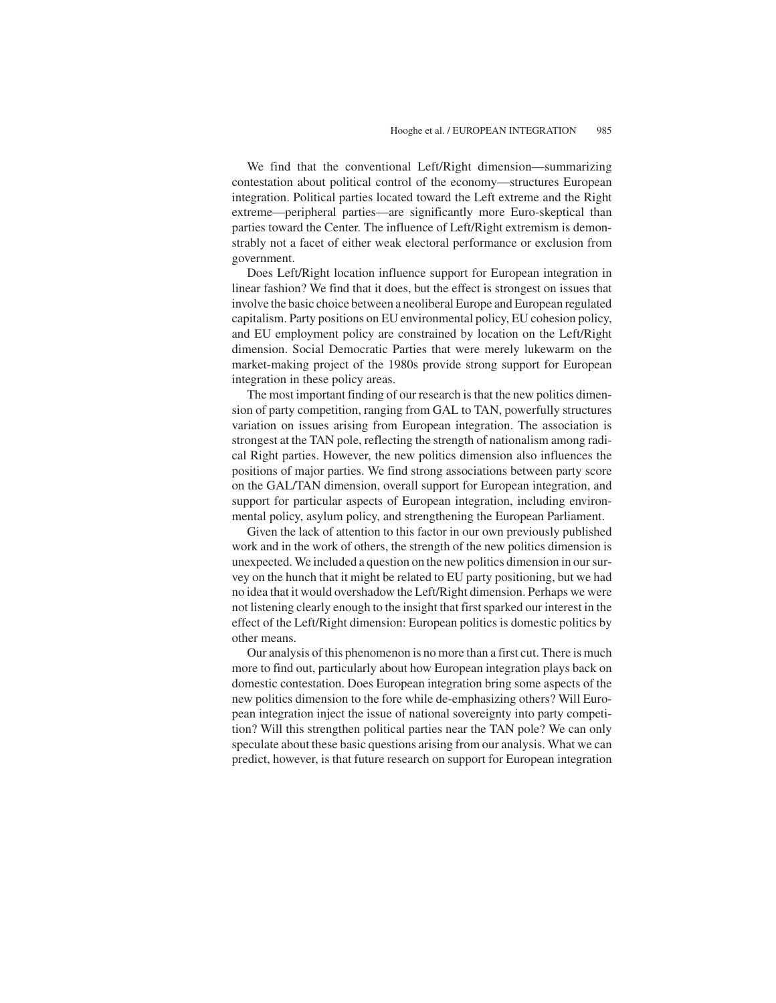We find that the conventional Left/Right dimension—summarizing contestation about political control of the economy—structures European integration. Political parties located toward the Left extreme and the Right extreme—peripheral parties—are significantly more Euro-skeptical than parties toward the Center. The influence of Left/Right extremism is demonstrably not a facet of either weak electoral performance or exclusion from government.

Does Left/Right location influence support for European integration in linear fashion? We find that it does, but the effect is strongest on issues that involve the basic choice between a neoliberal Europe and European regulated capitalism. Party positions on EU environmental policy, EU cohesion policy, and EU employment policy are constrained by location on the Left/Right dimension. Social Democratic Parties that were merely lukewarm on the market-making project of the 1980s provide strong support for European integration in these policy areas.

The most important finding of our research is that the new politics dimension of party competition, ranging from GAL to TAN, powerfully structures variation on issues arising from European integration. The association is strongest at the TAN pole, reflecting the strength of nationalism among radical Right parties. However, the new politics dimension also influences the positions of major parties. We find strong associations between party score on the GAL/TAN dimension, overall support for European integration, and support for particular aspects of European integration, including environmental policy, asylum policy, and strengthening the European Parliament.

Given the lack of attention to this factor in our own previously published work and in the work of others, the strength of the new politics dimension is unexpected. We included a question on the new politics dimension in our survey on the hunch that it might be related to EU party positioning, but we had no idea that it would overshadow the Left/Right dimension. Perhaps we were not listening clearly enough to the insight that first sparked our interest in the effect of the Left/Right dimension: European politics is domestic politics by other means.

Our analysis of this phenomenon is no more than a first cut. There is much more to find out, particularly about how European integration plays back on domestic contestation. Does European integration bring some aspects of the new politics dimension to the fore while de-emphasizing others? Will European integration inject the issue of national sovereignty into party competition? Will this strengthen political parties near the TAN pole? We can only speculate about these basic questions arising from our analysis. What we can predict, however, is that future research on support for European integration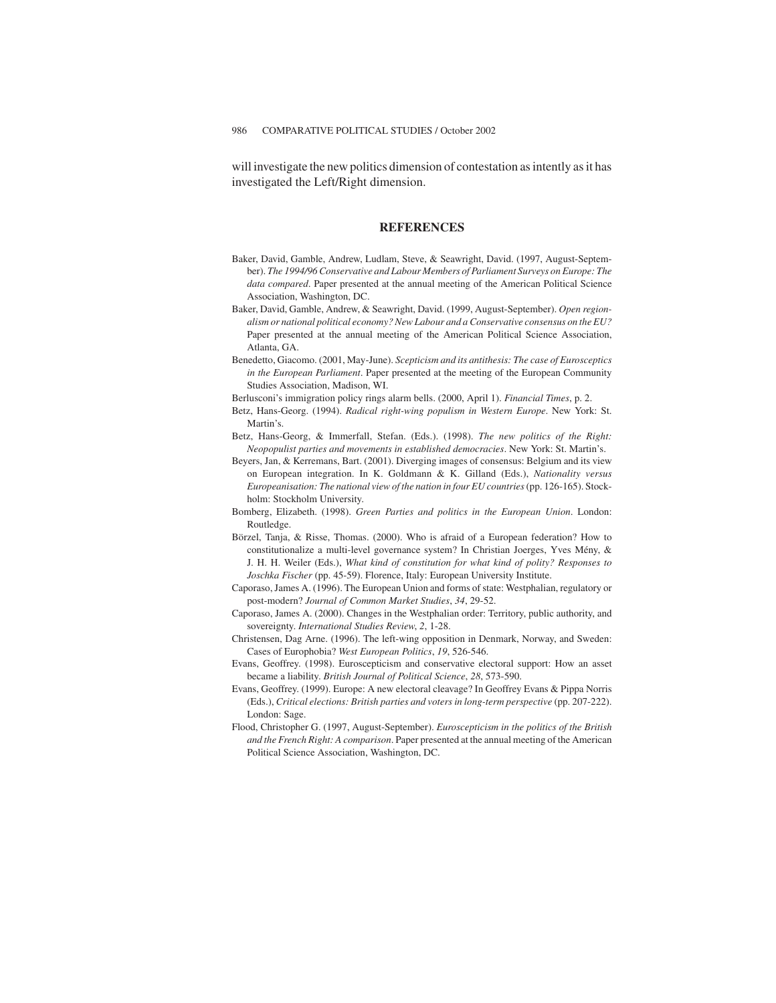will investigate the new politics dimension of contestation as intently as it has investigated the Left/Right dimension.

## **REFERENCES**

- Baker, David, Gamble, Andrew, Ludlam, Steve, & Seawright, David. (1997, August-September). *The 1994/96 Conservative and Labour Members of Parliament Surveys on Europe: The data compared*. Paper presented at the annual meeting of the American Political Science Association, Washington, DC.
- Baker, David, Gamble, Andrew, & Seawright, David. (1999, August-September). *Open regionalism or national political economy? New Labour and a Conservative consensus on the EU?* Paper presented at the annual meeting of the American Political Science Association, Atlanta, GA.
- Benedetto, Giacomo. (2001, May-June). *Scepticism and its antithesis: The case of Eurosceptics in the European Parliament*. Paper presented at the meeting of the European Community Studies Association, Madison, WI.
- Berlusconi's immigration policy rings alarm bells. (2000, April 1). *Financial Times*, p. 2.
- Betz, Hans-Georg. (1994). *Radical right-wing populism in Western Europe*. New York: St. Martin's.
- Betz, Hans-Georg, & Immerfall, Stefan. (Eds.). (1998). *The new politics of the Right: Neopopulist parties and movements in established democracies*. New York: St. Martin's.
- Beyers, Jan, & Kerremans, Bart. (2001). Diverging images of consensus: Belgium and its view on European integration. In K. Goldmann & K. Gilland (Eds.), *Nationality versus Europeanisation: The national view of the nation in four EU countries*(pp. 126-165). Stockholm: Stockholm University.
- Bomberg, Elizabeth. (1998). *Green Parties and politics in the European Union*. London: Routledge.
- Börzel, Tanja, & Risse, Thomas. (2000). Who is afraid of a European federation? How to constitutionalize a multi-level governance system? In Christian Joerges, Yves Mény, & J. H. H. Weiler (Eds.), *What kind of constitution for what kind of polity? Responses to Joschka Fischer* (pp. 45-59). Florence, Italy: European University Institute.
- Caporaso, James A. (1996). The European Union and forms of state: Westphalian, regulatory or post-modern? *Journal of Common Market Studies*, *34*, 29-52.
- Caporaso, James A. (2000). Changes in the Westphalian order: Territory, public authority, and sovereignty. *International Studies Review*, *2*, 1-28.
- Christensen, Dag Arne. (1996). The left-wing opposition in Denmark, Norway, and Sweden: Cases of Europhobia? *West European Politics*, *19*, 526-546.
- Evans, Geoffrey. (1998). Euroscepticism and conservative electoral support: How an asset became a liability. *British Journal of Political Science*, *28*, 573-590.
- Evans, Geoffrey. (1999). Europe: A new electoral cleavage? In Geoffrey Evans & Pippa Norris (Eds.), *Critical elections: British parties and voters in long-term perspective* (pp. 207-222). London: Sage.
- Flood, Christopher G. (1997, August-September). *Euroscepticism in the politics of the British and the French Right: A comparison*. Paper presented at the annual meeting of the American Political Science Association, Washington, DC.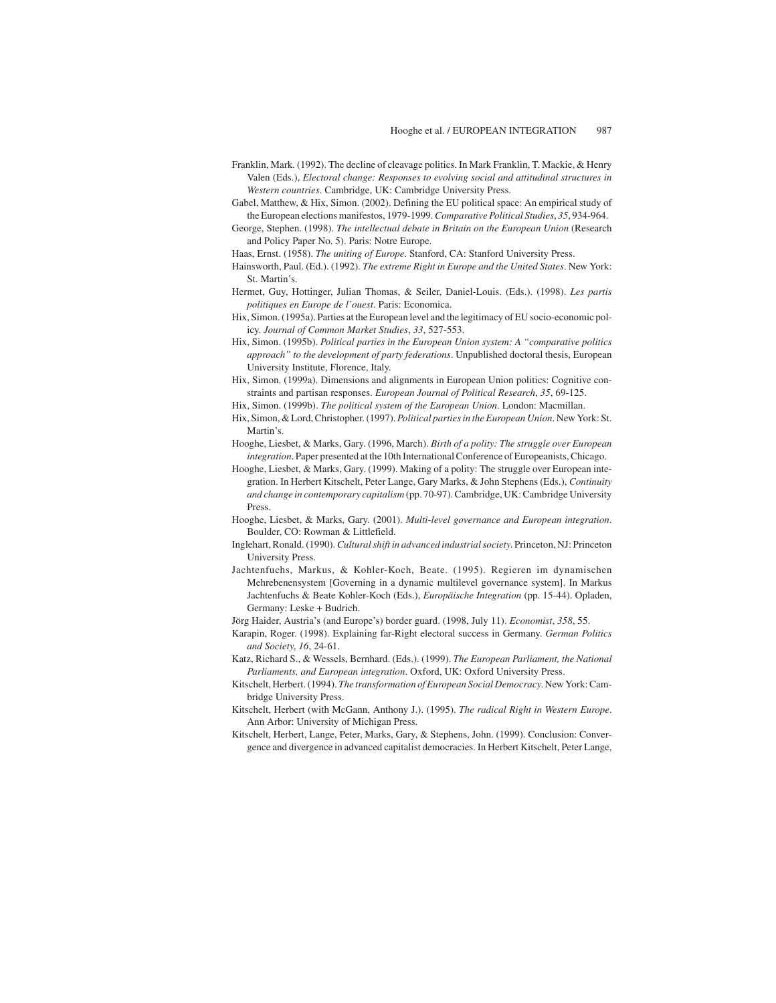- Franklin, Mark. (1992). The decline of cleavage politics. In Mark Franklin, T. Mackie, & Henry Valen (Eds.), *Electoral change: Responses to evolving social and attitudinal structures in Western countries*. Cambridge, UK: Cambridge University Press.
- Gabel, Matthew, & Hix, Simon. (2002). Defining the EU political space: An empirical study of the European elections manifestos, 1979-1999.*Comparative Political Studies*, *35*, 934-964.
- George, Stephen. (1998). *The intellectual debate in Britain on the European Union* (Research and Policy Paper No. 5). Paris: Notre Europe.
- Haas, Ernst. (1958). *The uniting of Europe*. Stanford, CA: Stanford University Press.
- Hainsworth, Paul. (Ed.). (1992). *The extreme Right in Europe and the United States*. New York: St. Martin's.
- Hermet, Guy, Hottinger, Julian Thomas, & Seiler, Daniel-Louis. (Eds.). (1998). *Les partis politiques en Europe de l'ouest*. Paris: Economica.
- Hix, Simon. (1995a). Parties at the European level and the legitimacy of EU socio-economic policy. *Journal of Common Market Studies*, *33*, 527-553.
- Hix, Simon. (1995b). *Political parties in the European Union system: A "comparative politics approach" to the development of party federations*. Unpublished doctoral thesis, European University Institute, Florence, Italy.
- Hix, Simon. (1999a). Dimensions and alignments in European Union politics: Cognitive constraints and partisan responses. *European Journal of Political Research*, *35*, 69-125.
- Hix, Simon. (1999b). *The political system of the European Union*. London: Macmillan.
- Hix, Simon, & Lord, Christopher. (1997).*Political parties in the European Union*. New York: St. Martin's.
- Hooghe, Liesbet, & Marks, Gary. (1996, March). *Birth of a polity: The struggle over European integration*. Paper presented at the 10th International Conference of Europeanists, Chicago.
- Hooghe, Liesbet, & Marks, Gary. (1999). Making of a polity: The struggle over European integration. In Herbert Kitschelt, Peter Lange, Gary Marks, & John Stephens (Eds.), *Continuity and change in contemporary capitalism* (pp. 70-97). Cambridge, UK: Cambridge University Press.
- Hooghe, Liesbet, & Marks, Gary. (2001). *Multi-level governance and European integration*. Boulder, CO: Rowman & Littlefield.
- Inglehart, Ronald. (1990).*Cultural shift in advanced industrial society*. Princeton, NJ: Princeton University Press.
- Jachtenfuchs, Markus, & Kohler-Koch, Beate. (1995). Regieren im dynamischen Mehrebenensystem [Governing in a dynamic multilevel governance system]. In Markus Jachtenfuchs & Beate Kohler-Koch (Eds.), *Europäische Integration* (pp. 15-44). Opladen, Germany: Leske + Budrich.
- Jörg Haider, Austria's (and Europe's) border guard. (1998, July 11). *Economist*, *358*, 55.
- Karapin, Roger. (1998). Explaining far-Right electoral success in Germany. *German Politics and Society*, *16*, 24-61.
- Katz, Richard S., & Wessels, Bernhard. (Eds.). (1999). *The European Parliament, the National Parliaments, and European integration*. Oxford, UK: Oxford University Press.
- Kitschelt, Herbert. (1994). *The transformation of European Social Democracy*. New York: Cambridge University Press.
- Kitschelt, Herbert (with McGann, Anthony J.). (1995). *The radical Right in Western Europe*. Ann Arbor: University of Michigan Press.
- Kitschelt, Herbert, Lange, Peter, Marks, Gary, & Stephens, John. (1999). Conclusion: Convergence and divergence in advanced capitalist democracies. In Herbert Kitschelt, Peter Lange,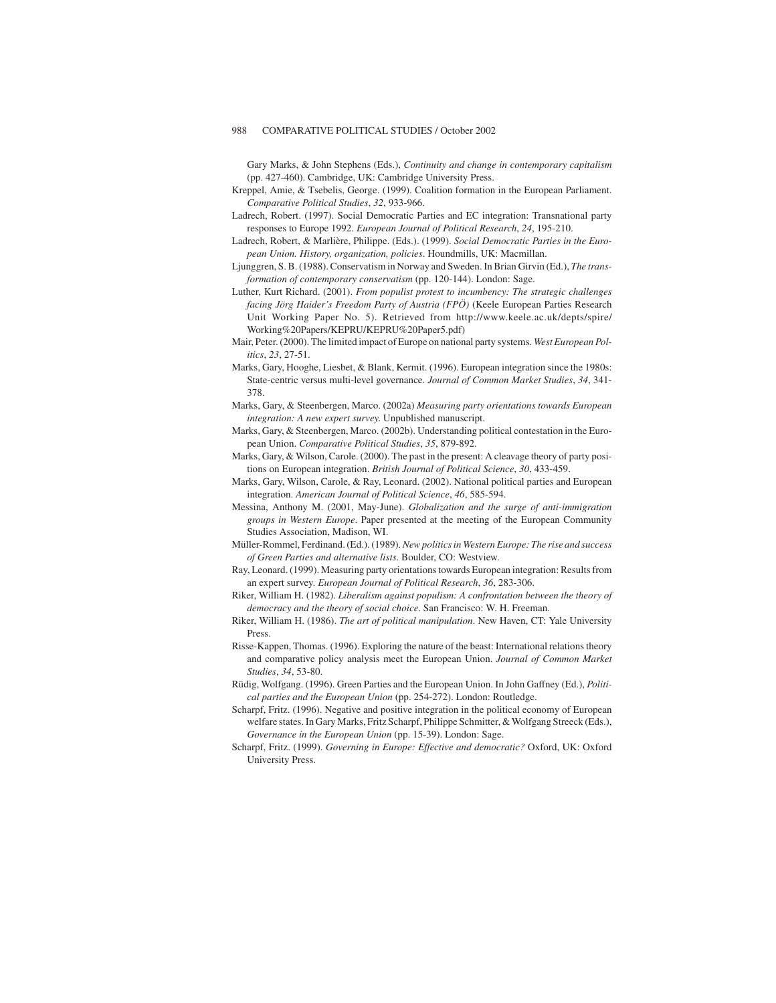Gary Marks, & John Stephens (Eds.), *Continuity and change in contemporary capitalism* (pp. 427-460). Cambridge, UK: Cambridge University Press.

- Kreppel, Amie, & Tsebelis, George. (1999). Coalition formation in the European Parliament. *Comparative Political Studies*, *32*, 933-966.
- Ladrech, Robert. (1997). Social Democratic Parties and EC integration: Transnational party responses to Europe 1992. *European Journal of Political Research*, *24*, 195-210.
- Ladrech, Robert, & Marlière, Philippe. (Eds.). (1999). *Social Democratic Parties in the European Union.History, organization, policies*. Houndmills, UK: Macmillan.
- Ljunggren, S. B. (1988). Conservatism in Norway and Sweden. In Brian Girvin (Ed.), *The transformation of contemporary conservatism* (pp. 120-144). London: Sage.
- Luther, Kurt Richard. (2001). *From populist protest to incumbency: The strategic challenges facing Jörg Haider's Freedom Party of Austria (FPÖ)* (Keele European Parties Research Unit Working Paper No. 5). Retrieved from http://www.keele.ac.uk/depts/spire/ Working%20Papers/KEPRU/KEPRU%20Paper5.pdf)
- Mair, Peter. (2000). The limited impact of Europe on national party systems. *West European Politics*, *23*, 27-51.
- Marks, Gary, Hooghe, Liesbet, & Blank, Kermit. (1996). European integration since the 1980s: State-centric versus multi-level governance. *Journal of Common Market Studies*, *34*, 341- 378.
- Marks, Gary, & Steenbergen, Marco. (2002a) *Measuring party orientations towards European integration: A new expert survey*. Unpublished manuscript.
- Marks, Gary, & Steenbergen, Marco. (2002b). Understanding political contestation in the European Union. *Comparative Political Studies*, *35*, 879-892.
- Marks, Gary, & Wilson, Carole. (2000). The past in the present: A cleavage theory of party positions on European integration. *British Journal of Political Science*, *30*, 433-459.
- Marks, Gary, Wilson, Carole, & Ray, Leonard. (2002). National political parties and European integration. *American Journal of Political Science*, *46*, 585-594.
- Messina, Anthony M. (2001, May-June). *Globalization and the surge of anti-immigration groups in Western Europe*. Paper presented at the meeting of the European Community Studies Association, Madison, WI.
- Müller-Rommel, Ferdinand. (Ed.). (1989).*New politics in Western Europe: The rise and success of Green Parties and alternative lists*. Boulder, CO: Westview.
- Ray, Leonard. (1999). Measuring party orientations towards European integration: Results from an expert survey. *European Journal of Political Research*, *36*, 283-306.
- Riker, William H. (1982). *Liberalism against populism: A confrontation between the theory of democracy and the theory of social choice*. San Francisco: W. H. Freeman.
- Riker, William H. (1986). *The art of political manipulation*. New Haven, CT: Yale University Press.
- Risse-Kappen, Thomas. (1996). Exploring the nature of the beast: International relations theory and comparative policy analysis meet the European Union. *Journal of Common Market Studies*, *34*, 53-80.
- Rüdig, Wolfgang. (1996). Green Parties and the European Union. In John Gaffney (Ed.), *Political parties and the European Union* (pp. 254-272). London: Routledge.
- Scharpf, Fritz. (1996). Negative and positive integration in the political economy of European welfare states. In Gary Marks, Fritz Scharpf, Philippe Schmitter, & Wolfgang Streeck (Eds.), *Governance in the European Union* (pp. 15-39). London: Sage.
- Scharpf, Fritz. (1999). *Governing in Europe: Effective and democratic?* Oxford, UK: Oxford University Press.